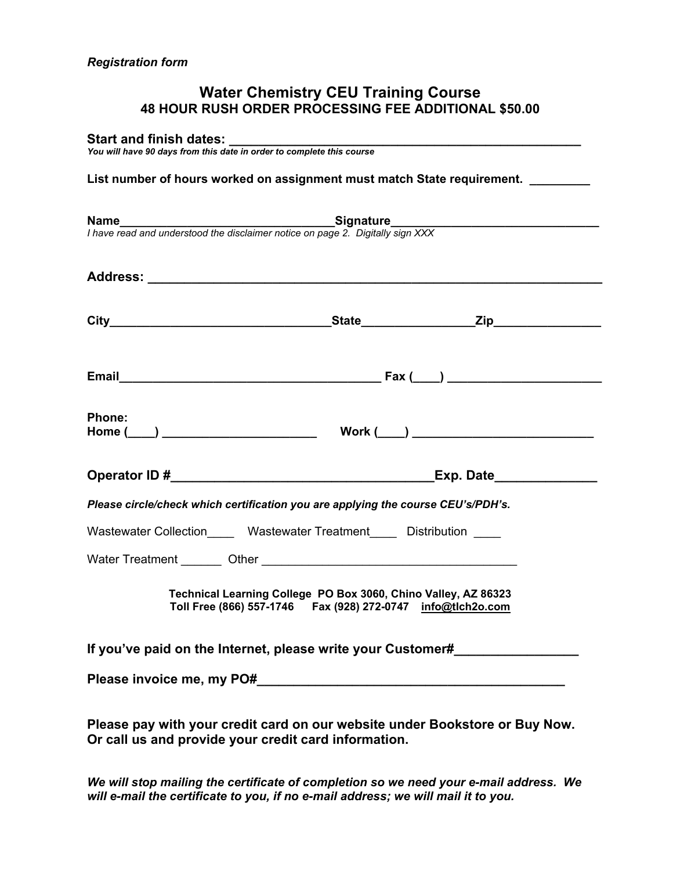# **Water Chemistry CEU Training Course 48 HOUR RUSH ORDER PROCESSING FEE ADDITIONAL \$50.00**

# **Start and finish dates: \_\_\_\_\_\_\_\_\_\_\_\_\_\_\_\_\_\_\_\_\_\_\_\_\_\_\_\_\_\_\_\_\_\_\_\_\_\_\_\_\_\_\_\_\_\_\_\_**

*You will have 90 days from this date in order to complete this course*

#### List number of hours worked on assignment must match State requirement. \_\_\_\_\_\_\_\_

| <b>Name</b><br>I have read and understood the disclaimer notice on page 2. Digitally sign XXX                                       |  |  |  |
|-------------------------------------------------------------------------------------------------------------------------------------|--|--|--|
|                                                                                                                                     |  |  |  |
|                                                                                                                                     |  |  |  |
|                                                                                                                                     |  |  |  |
| Phone:                                                                                                                              |  |  |  |
| Operator ID # Exp. Date Exp. Date                                                                                                   |  |  |  |
| Please circle/check which certification you are applying the course CEU's/PDH's.                                                    |  |  |  |
| Wastewater Collection Wastewater Treatment Distribution                                                                             |  |  |  |
|                                                                                                                                     |  |  |  |
| Technical Learning College PO Box 3060, Chino Valley, AZ 86323<br>Toll Free (866) 557-1746    Fax (928) 272-0747    info@tlch2o.com |  |  |  |
| If you've paid on the Internet, please write your Customer#                                                                         |  |  |  |
|                                                                                                                                     |  |  |  |
| Please pay with your credit card on our website under Bookstore or Buy Now.<br>Or call us and provide your credit card information. |  |  |  |

*We will stop mailing the certificate of completion so we need your e-mail address. We will e-mail the certificate to you, if no e-mail address; we will mail it to you.*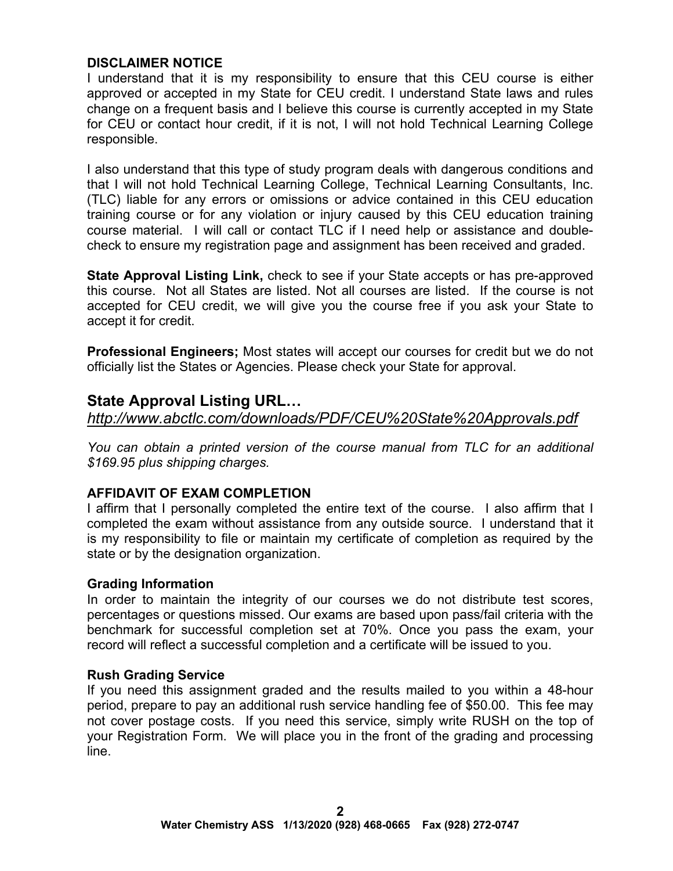# **DISCLAIMER NOTICE**

I understand that it is my responsibility to ensure that this CEU course is either approved or accepted in my State for CEU credit. I understand State laws and rules change on a frequent basis and I believe this course is currently accepted in my State for CEU or contact hour credit, if it is not, I will not hold Technical Learning College responsible.

I also understand that this type of study program deals with dangerous conditions and that I will not hold Technical Learning College, Technical Learning Consultants, Inc. (TLC) liable for any errors or omissions or advice contained in this CEU education training course or for any violation or injury caused by this CEU education training course material. I will call or contact TLC if I need help or assistance and doublecheck to ensure my registration page and assignment has been received and graded.

**State Approval Listing Link,** check to see if your State accepts or has pre-approved this course. Not all States are listed. Not all courses are listed. If the course is not accepted for CEU credit, we will give you the course free if you ask your State to accept it for credit.

**Professional Engineers;** Most states will accept our courses for credit but we do not officially list the States or Agencies. Please check your State for approval.

# **State Approval Listing URL…**

*<http://www.abctlc.com/downloads/PDF/CEU%20State%20Approvals.pdf>*

*You can obtain a printed version of the course manual from TLC for an additional \$169.95 plus shipping charges.* 

# **AFFIDAVIT OF EXAM COMPLETION**

I affirm that I personally completed the entire text of the course. I also affirm that I completed the exam without assistance from any outside source. I understand that it is my responsibility to file or maintain my certificate of completion as required by the state or by the designation organization.

# **Grading Information**

In order to maintain the integrity of our courses we do not distribute test scores, percentages or questions missed. Our exams are based upon pass/fail criteria with the benchmark for successful completion set at 70%. Once you pass the exam, your record will reflect a successful completion and a certificate will be issued to you.

# **Rush Grading Service**

If you need this assignment graded and the results mailed to you within a 48-hour period, prepare to pay an additional rush service handling fee of \$50.00. This fee may not cover postage costs. If you need this service, simply write RUSH on the top of your Registration Form. We will place you in the front of the grading and processing line.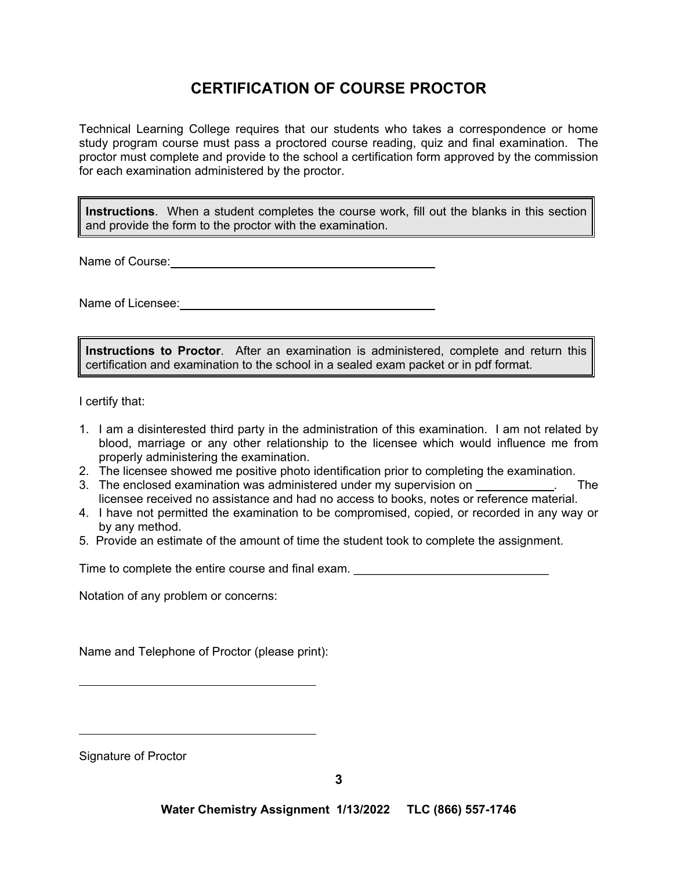# **CERTIFICATION OF COURSE PROCTOR**

Technical Learning College requires that our students who takes a correspondence or home study program course must pass a proctored course reading, quiz and final examination. The proctor must complete and provide to the school a certification form approved by the commission for each examination administered by the proctor.

**Instructions**. When a student completes the course work, fill out the blanks in this section and provide the form to the proctor with the examination.

Name of Course:

Name of Licensee: **Name of Licensee:**  $\blacksquare$ 

**Instructions to Proctor**. After an examination is administered, complete and return this certification and examination to the school in a sealed exam packet or in pdf format.

I certify that:

- 1. I am a disinterested third party in the administration of this examination. I am not related by blood, marriage or any other relationship to the licensee which would influence me from properly administering the examination.
- 2. The licensee showed me positive photo identification prior to completing the examination.
- 3. The enclosed examination was administered under my supervision on . The licensee received no assistance and had no access to books, notes or reference material.
- 4. I have not permitted the examination to be compromised, copied, or recorded in any way or by any method.
- 5. Provide an estimate of the amount of time the student took to complete the assignment.

Time to complete the entire course and final exam.

Notation of any problem or concerns:

Name and Telephone of Proctor (please print):

Signature of Proctor

 $\overline{a}$ 

 $\overline{a}$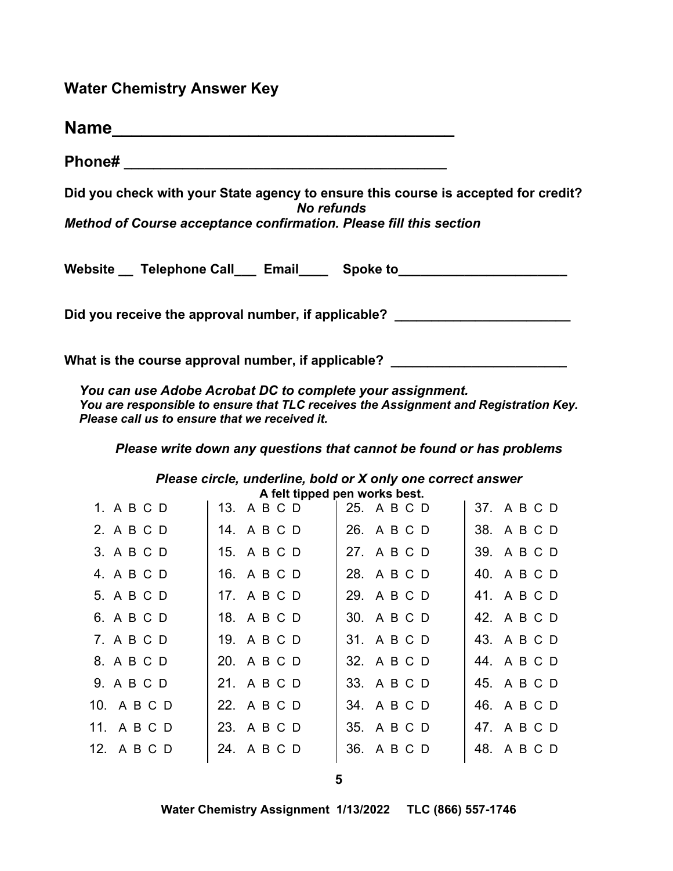**Water Chemistry Answer Key**

| Name ________                                                                                    |
|--------------------------------------------------------------------------------------------------|
|                                                                                                  |
| Did you check with your State agency to ensure this course is accepted for credit?<br>No refunds |
| Method of Course acceptance confirmation. Please fill this section                               |
| Website Telephone Call Email Spoke to                                                            |
| Did you receive the approval number, if applicable? ____________________________                 |
| What is the course approval number, if applicable?                                               |

*You can use Adobe Acrobat DC to complete your assignment. You are responsible to ensure that TLC receives the Assignment and Registration Key. Please call us to ensure that we received it.* 

*Please write down any questions that cannot be found or has problems* 

*Please circle, underline, bold or X only one correct answer* **A felt tipped pen works best.** 

| 1. A B C D  | 13. A B C D | 25. A B C D | 37. A B C D |
|-------------|-------------|-------------|-------------|
| 2. A B C D  | 14. A B C D | 26. A B C D | 38. A B C D |
| 3. A B C D  | 15. A B C D | 27. A B C D | 39. A B C D |
| 4. A B C D  | 16. A B C D | 28. A B C D | 40. A B C D |
| 5. A B C D  | 17. A B C D | 29. A B C D | 41. A B C D |
| 6. A B C D  | 18. A B C D | 30. A B C D | 42. A B C D |
| 7. A B C D  | 19. A B C D | 31. A B C D | 43. A B C D |
| 8. A B C D  | 20. A B C D | 32. A B C D | 44. A B C D |
| 9. A B C D  | 21. A B C D | 33. A B C D | 45. A B C D |
| 10. A B C D | 22. A B C D | 34. A B C D | 46. A B C D |
| 11. A B C D | 23. A B C D | 35. A B C D | 47. A B C D |
| 12. A B C D | 24. A B C D | 36. A B C D | 48. A B C D |
|             |             |             |             |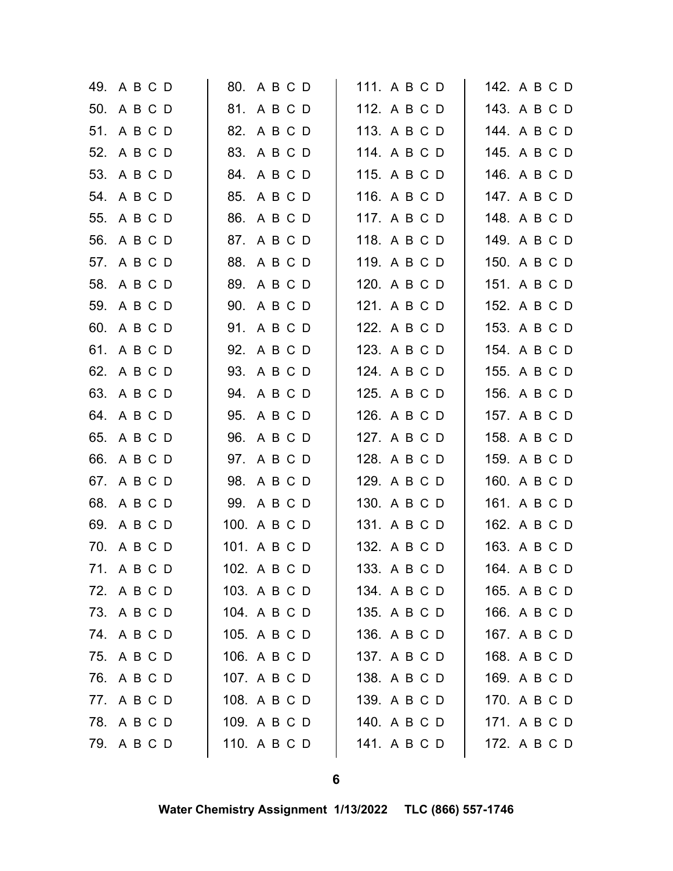| 80. A B C D                                                                                                                                                                                                                                                                                                                                                                                                                                                                   | 111. A B C D | 142. A B C D |
|-------------------------------------------------------------------------------------------------------------------------------------------------------------------------------------------------------------------------------------------------------------------------------------------------------------------------------------------------------------------------------------------------------------------------------------------------------------------------------|--------------|--------------|
| 81. A B C D                                                                                                                                                                                                                                                                                                                                                                                                                                                                   | 112. A B C D | 143. A B C D |
| 82. A B C D                                                                                                                                                                                                                                                                                                                                                                                                                                                                   | 113. A B C D | 144. A B C D |
| 83. A B C D                                                                                                                                                                                                                                                                                                                                                                                                                                                                   | 114. A B C D | 145. A B C D |
| 84. A B C D                                                                                                                                                                                                                                                                                                                                                                                                                                                                   | 115. A B C D | 146. A B C D |
| 85. A B C D                                                                                                                                                                                                                                                                                                                                                                                                                                                                   | 116. A B C D | 147. A B C D |
| 86. A B C D                                                                                                                                                                                                                                                                                                                                                                                                                                                                   | 117. A B C D | 148. A B C D |
| 87. A B C D                                                                                                                                                                                                                                                                                                                                                                                                                                                                   | 118. A B C D | 149. A B C D |
| 88. A B C D                                                                                                                                                                                                                                                                                                                                                                                                                                                                   | 119. A B C D | 150. A B C D |
| 89. A B C D                                                                                                                                                                                                                                                                                                                                                                                                                                                                   | 120. A B C D | 151. A B C D |
| 90. A B C D                                                                                                                                                                                                                                                                                                                                                                                                                                                                   | 121. A B C D | 152. A B C D |
| 91. A B C D                                                                                                                                                                                                                                                                                                                                                                                                                                                                   | 122. A B C D | 153. A B C D |
| 92. A B C D                                                                                                                                                                                                                                                                                                                                                                                                                                                                   | 123. A B C D | 154. A B C D |
| 93. A B C D                                                                                                                                                                                                                                                                                                                                                                                                                                                                   | 124. A B C D | 155. A B C D |
| 94. A B C D                                                                                                                                                                                                                                                                                                                                                                                                                                                                   | 125. A B C D | 156. A B C D |
| 95. A B C D                                                                                                                                                                                                                                                                                                                                                                                                                                                                   | 126. A B C D | 157. A B C D |
| 96. A B C D                                                                                                                                                                                                                                                                                                                                                                                                                                                                   | 127. A B C D | 158. A B C D |
| 97. A B C D                                                                                                                                                                                                                                                                                                                                                                                                                                                                   | 128. A B C D | 159. A B C D |
| 98. A B C D                                                                                                                                                                                                                                                                                                                                                                                                                                                                   | 129. A B C D | 160. A B C D |
| 99. A B C D                                                                                                                                                                                                                                                                                                                                                                                                                                                                   | 130. A B C D | 161. A B C D |
| 100. A B C D                                                                                                                                                                                                                                                                                                                                                                                                                                                                  | 131. A B C D | 162. A B C D |
| 101. A B C D                                                                                                                                                                                                                                                                                                                                                                                                                                                                  | 132. A B C D | 163. A B C D |
| 102. A B C D                                                                                                                                                                                                                                                                                                                                                                                                                                                                  | 133. A B C D | 164. A B C D |
| 103. A B C D                                                                                                                                                                                                                                                                                                                                                                                                                                                                  | 134. A B C D | 165. A B C D |
| 104. A B C D                                                                                                                                                                                                                                                                                                                                                                                                                                                                  | 135. A B C D | 166. A B C D |
| 105. A B C D                                                                                                                                                                                                                                                                                                                                                                                                                                                                  | 136. A B C D | 167. A B C D |
| 106. A B C D                                                                                                                                                                                                                                                                                                                                                                                                                                                                  | 137. A B C D | 168. A B C D |
| 107. A B C D                                                                                                                                                                                                                                                                                                                                                                                                                                                                  | 138. A B C D | 169. A B C D |
| 108. A B C D                                                                                                                                                                                                                                                                                                                                                                                                                                                                  | 139. A B C D | 170. A B C D |
| 109. A B C D                                                                                                                                                                                                                                                                                                                                                                                                                                                                  | 140. A B C D | 171. A B C D |
| 110. A B C D                                                                                                                                                                                                                                                                                                                                                                                                                                                                  | 141. A B C D | 172. A B C D |
| 49. A B C D<br>50. A B C D<br>51. A B C D<br>52. A B C D<br>53. A B C D<br>54. A B C D<br>55. A B C D<br>56. A B C D<br>57. A B C D<br>58. A B C D<br>59. A B C D<br>60. A B C D<br>61. A B C D<br>62. A B C D<br>63. A B C D<br>64. A B C D<br>65. A B C D<br>66. A B C D<br>67. A B C D<br>68. A B C D<br>69. A B C D<br>70. A B C D<br>71. A B C D<br>72. A B C D<br>73. A B C D<br>74. A B C D<br>75. A B C D<br>76. A B C D<br>77. A B C D<br>78. A B C D<br>79. A B C D |              |              |

**Water Chemistry Assignment 1/13/2022 TLC (866) 557-1746**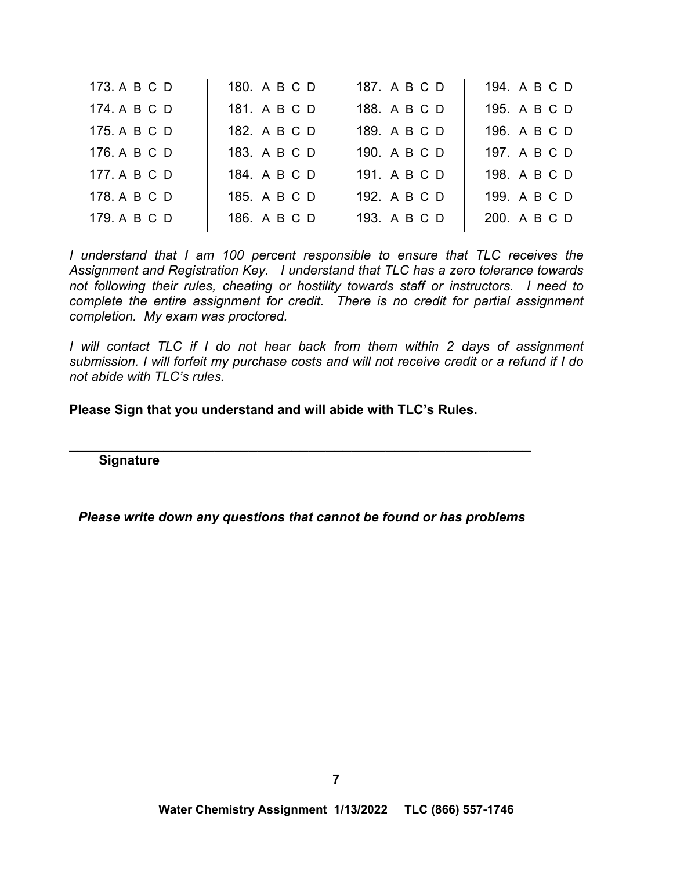| 173. A B C D | 180. A B C D | 187. A B C D | 194. A B C D |
|--------------|--------------|--------------|--------------|
| 174. A B C D | 181. A B C D | 188. A B C D | 195. A B C D |
| 175. A B C D | 182. A B C D | 189. A B C D | 196. A B C D |
| 176. A B C D | 183. A B C D | 190. A B C D | 197. A B C D |
| 177. A B C D | 184. A B C D | 191. A B C D | 198. A B C D |
| 178. A B C D | 185. A B C D | 192. A B C D | 199. A B C D |
| 179. A B C D | 186. A B C D | 193. A B C D | 200. A B C D |
|              |              |              |              |

*I* understand that *I* am 100 percent responsible to ensure that TLC receives the *Assignment and Registration Key. I understand that TLC has a zero tolerance towards not following their rules, cheating or hostility towards staff or instructors. I need to complete the entire assignment for credit. There is no credit for partial assignment completion. My exam was proctored.* 

*I* will contact TLC if I do not hear back from them within 2 days of assignment *submission. I will forfeit my purchase costs and will not receive credit or a refund if I do not abide with TLC's rules.* 

**Please Sign that you understand and will abide with TLC's Rules.** 

# **Signature**

*Please write down any questions that cannot be found or has problems* 

**\_\_\_\_\_\_\_\_\_\_\_\_\_\_\_\_\_\_\_\_\_\_\_\_\_\_\_\_\_\_\_\_\_\_\_\_\_\_\_\_\_\_\_\_\_\_\_\_\_\_\_\_\_\_**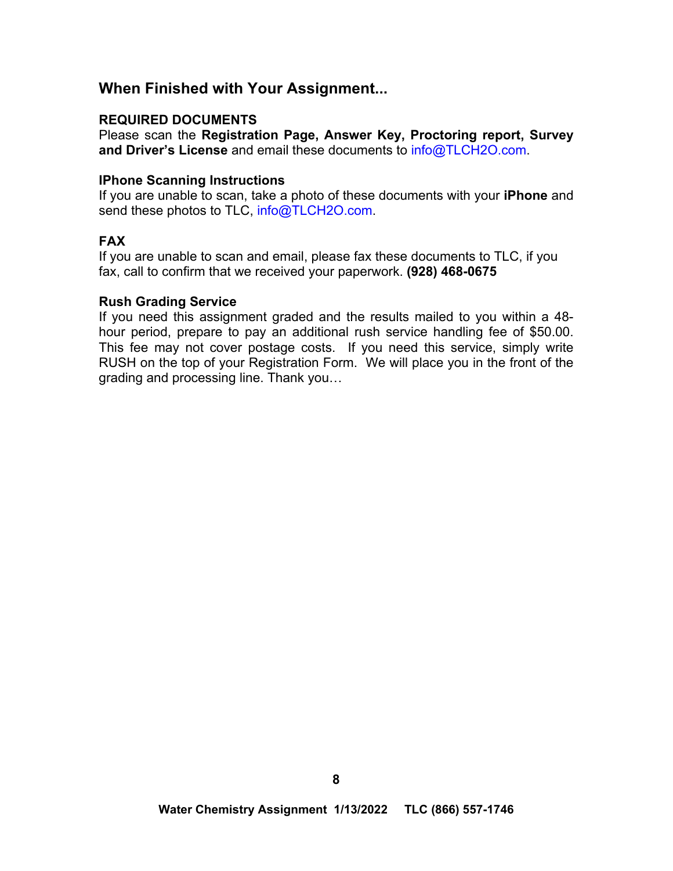# **When Finished with Your Assignment...**

# **REQUIRED DOCUMENTS**

Please scan the **Registration Page, Answer Key, Proctoring report, Survey and Driver's License** and email these documents to [info@TLCH2O.com.](mailto:info@TLCH2O.com) 

# **IPhone Scanning Instructions**

If you are unable to scan, take a photo of these documents with your **iPhone** and send these photos to TLC, info@TLCH2O.com.

# **FAX**

If you are unable to scan and email, please fax these documents to TLC, if you fax, call to confirm that we received your paperwork. **(928) 468-0675** 

# **Rush Grading Service**

If you need this assignment graded and the results mailed to you within a 48 hour period, prepare to pay an additional rush service handling fee of \$50.00. This fee may not cover postage costs. If you need this service, simply write RUSH on the top of your Registration Form. We will place you in the front of the grading and processing line. Thank you…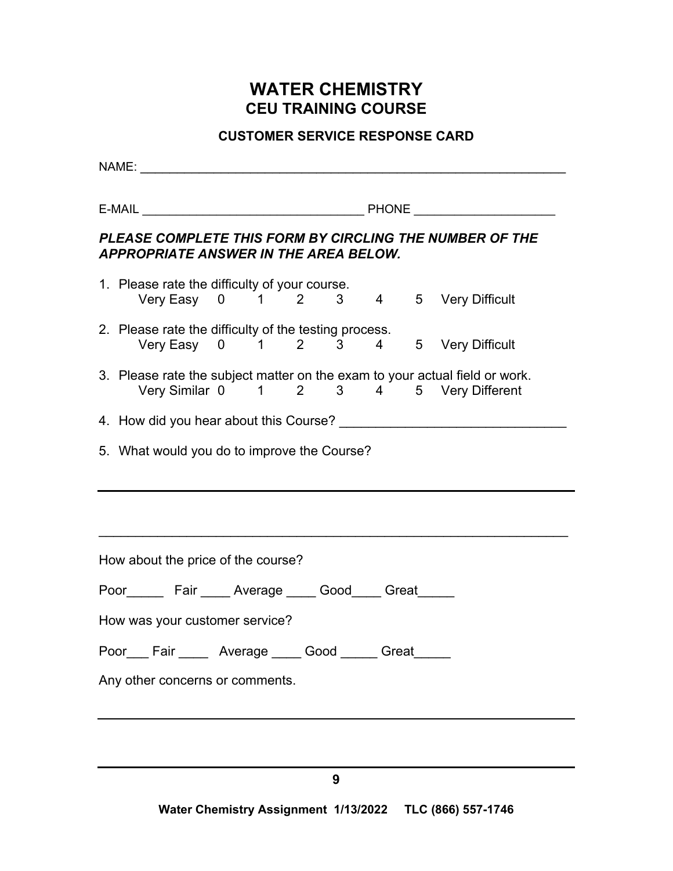# **WATER CHEMISTRY CEU TRAINING COURSE**

# **CUSTOMER SERVICE RESPONSE CARD**

|                              | NAME: NAME:                                                                                                            |  |  |  |
|------------------------------|------------------------------------------------------------------------------------------------------------------------|--|--|--|
|                              |                                                                                                                        |  |  |  |
|                              | PLEASE COMPLETE THIS FORM BY CIRCLING THE NUMBER OF THE<br><b>APPROPRIATE ANSWER IN THE AREA BELOW.</b>                |  |  |  |
|                              | 1. Please rate the difficulty of your course.<br>Very Easy 0 1 2 3 4 5 Very Difficult                                  |  |  |  |
|                              | 2. Please rate the difficulty of the testing process.<br>Very Easy 0 1 2 3 4 5 Very Difficult                          |  |  |  |
|                              | 3. Please rate the subject matter on the exam to your actual field or work.<br>Very Similar 0 1 2 3 4 5 Very Different |  |  |  |
|                              | 4. How did you hear about this Course?                                                                                 |  |  |  |
|                              | 5. What would you do to improve the Course?                                                                            |  |  |  |
|                              | How about the price of the course?                                                                                     |  |  |  |
|                              | Poor________ Fair _____ Average _____ Good_____ Great _____                                                            |  |  |  |
|                              | How was your customer service?                                                                                         |  |  |  |
| Poor Fair Average Good Great |                                                                                                                        |  |  |  |
|                              | Any other concerns or comments.                                                                                        |  |  |  |
|                              |                                                                                                                        |  |  |  |
|                              | 9                                                                                                                      |  |  |  |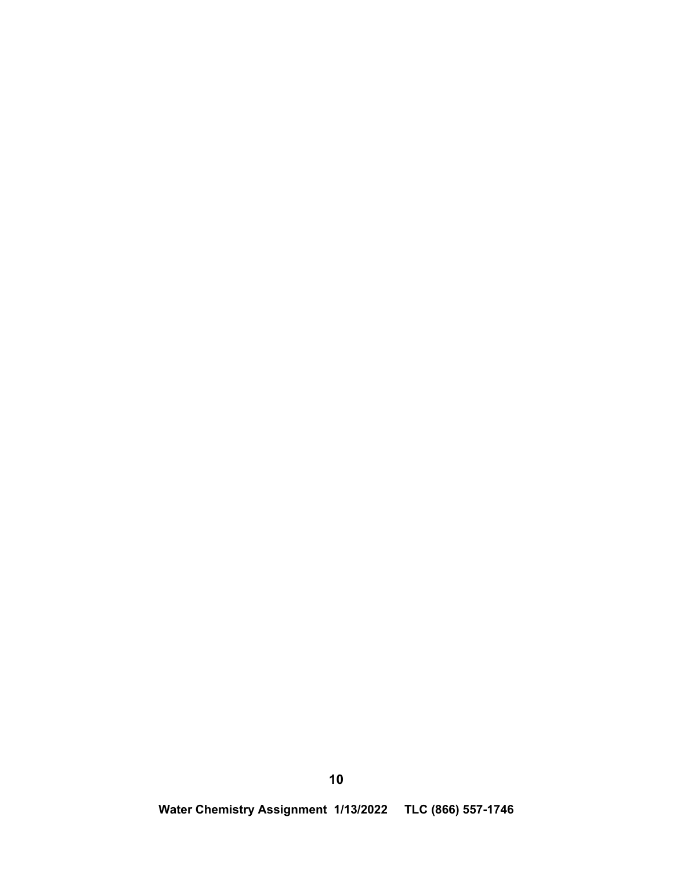**Water Chemistry Assignment 1/13/2022 TLC (866) 557-1746**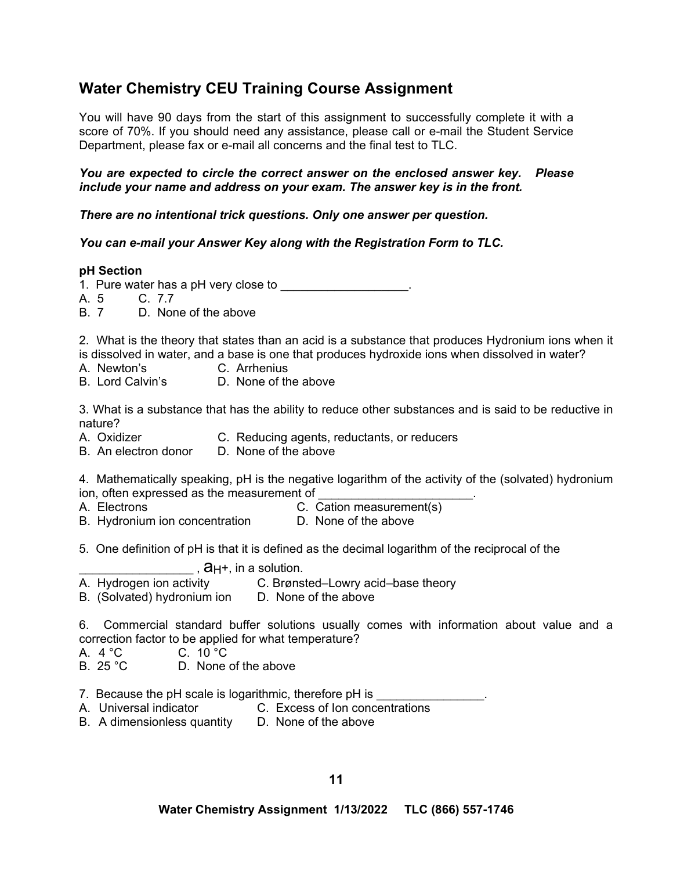# **Water Chemistry CEU Training Course Assignment**

You will have 90 days from the start of this assignment to successfully complete it with a score of 70%. If you should need any assistance, please call or e-mail the Student Service Department, please fax or e-mail all concerns and the final test to TLC.

*You are expected to circle the correct answer on the enclosed answer key. Please include your name and address on your exam. The answer key is in the front.* 

*There are no intentional trick questions. Only one answer per question.* 

#### *You can e-mail your Answer Key along with the Registration Form to TLC.*

#### **pH Section**

1. Pure water has a pH very close to \_\_\_\_\_\_\_\_\_\_\_\_\_\_\_\_\_\_.

- A. 5 C. 7.7
- B. 7 D. None of the above

2. What is the theory that states than an acid is a substance that produces Hydronium ions when it is dissolved in water, and a base is one that produces hydroxide ions when dissolved in water?

- A. Newton's C. Arrhenius
- B. Lord Calvin's D. None of the above

3. What is a substance that has the ability to reduce other substances and is said to be reductive in nature?

- A. Oxidizer **C. Reducing agents, reductants, or reducers**
- B. An electron donor D. None of the above

4. Mathematically speaking, pH is the negative logarithm of the activity of the (solvated) hydronium ion, often expressed as the measurement of

- 
- A. Electrons C. Cation measurement(s)
- B. Hydronium ion concentration D. None of the above
- 5. One definition of pH is that it is defined as the decimal logarithm of the reciprocal of the

,  $a_{H^+}$ , in a solution.

- A. Hydrogen ion activity C. Brønsted–Lowry acid–base theory
- B. (Solvated) hydronium ion D. None of the above

6. Commercial standard buffer solutions usually comes with information about value and a correction factor to be applied for what temperature?

A. 4 °C C. 10 °C

- B. 25 °C D. None of the above
- 7. Because the pH scale is logarithmic, therefore pH is
- A. Universal indicator C. Excess of Ion concentrations
- B. A dimensionless quantity D. None of the above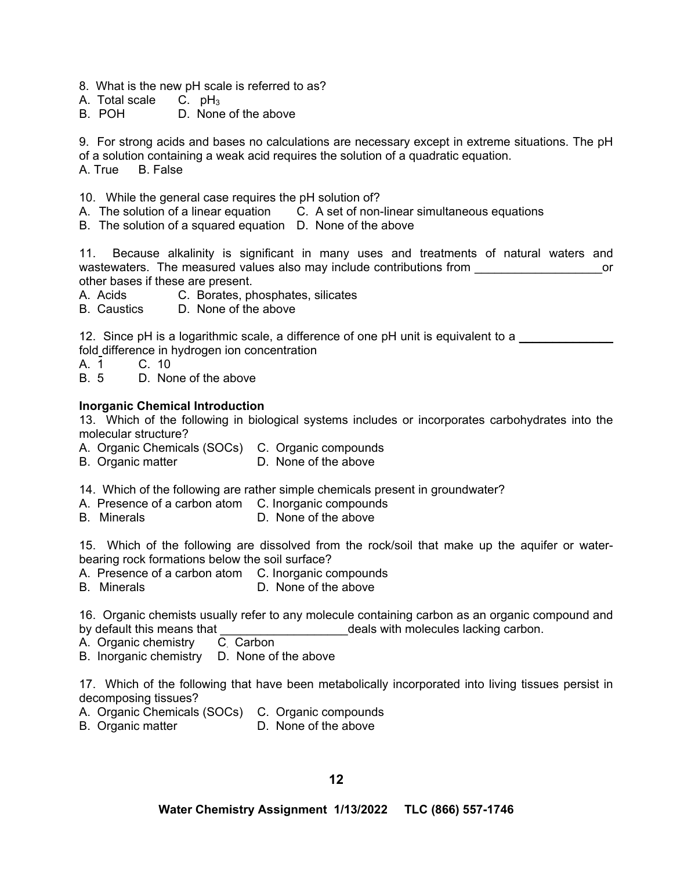- 8. What is the new pH scale is referred to as?
- A. Total scale  $C.$  pH<sub>3</sub>
- B. POH D. None of the above

9. For strong acids and bases no calculations are necessary except in extreme situations. The pH of a solution containing a weak acid requires the solution of a quadratic equation.

A. True B. False

10. While the general case requires the pH solution of?

- A. The solution of a linear equation C.A set of non-linear simultaneous equations
- B. The solution of a squared equation D. None of the above

11. Because alkalinity is significant in many uses and treatments of natural waters and wastewaters. The measured values also may include contributions from \_\_\_\_\_\_\_\_\_\_\_\_\_\_\_\_\_\_\_\_\_\_or other bases if these are present.

A. Acids C. Borates, phosphates, silicates

B. Caustics D. None of the above

12. Since pH is a logarithmic scale, a difference of one pH unit is equivalent to a fold difference in hydrogen ion concentration

A. 1 C. 10

B. 5 D. None of the above

#### **Inorganic Chemical Introduction**

13. Which of the following in biological systems includes or incorporates carbohydrates into the molecular structure?

- A. Organic Chemicals (SOCs) C. Organic compounds
- B. Organic matter **D. None of the above**

14. Which of the following are rather simple chemicals present in groundwater?

- A. Presence of a carbon atom C. Inorganic compounds
- B. Minerals **D. None of the above**

15. Which of the following are dissolved from the rock/soil that make up the aquifer or waterbearing rock formations below the soil surface?

- A. Presence of a carbon atom C. Inorganic compounds
- B. Minerals **D. None of the above**

16. Organic chemists usually refer to any molecule containing carbon as an organic compound and by default this means that **the summan set of the set of the set of the set of the set of the set of the set of the set of the set of the set of the set of the set of the set of the set of the set of the set of the set of** 

A. Organic chemistry C. Carbon

B. Inorganic chemistry D. None of the above

17. Which of the following that have been metabolically incorporated into living tissues persist in decomposing tissues?

- A. Organic Chemicals (SOCs) C. Organic compounds
- B. Organic matter **D. None of the above**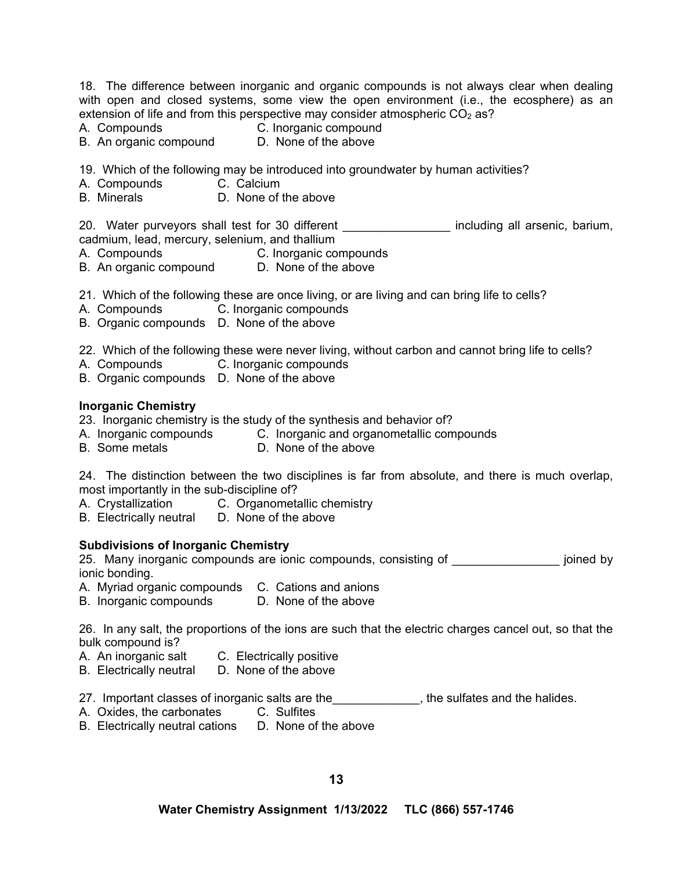18. The difference between inorganic and organic compounds is not always clear when dealing with open and closed systems, some view the open environment (i.e., the ecosphere) as an extension of life and from this perspective may consider atmospheric CO<sub>2</sub> as?

- A. Compounds C. Inorganic compound
- B. An organic compound D. None of the above

19. Which of the following may be introduced into groundwater by human activities?

- A. Compounds C. Calcium
- B. Minerals **D. None of the above**

20. Water purveyors shall test for 30 different \_\_\_\_\_\_\_\_\_\_\_\_\_\_\_\_\_ including all arsenic, barium, cadmium, lead, mercury, selenium, and thallium

- A. Compounds C. Inorganic compounds
- B. An organic compound D. None of the above

21. Which of the following these are once living, or are living and can bring life to cells?

- A. Compounds C. Inorganic compounds
- B. Organic compounds D. None of the above
- 22. Which of the following these were never living, without carbon and cannot bring life to cells?
- A. Compounds C. Inorganic compounds
- B. Organic compounds D. None of the above

#### **Inorganic Chemistry**

23. Inorganic chemistry is the study of the synthesis and behavior of?

- A. Inorganic compounds C. Inorganic and organometallic compounds
- B. Some metals **D.** None of the above

24. The distinction between the two disciplines is far from absolute, and there is much overlap, most importantly in the sub-discipline of?

- A. Crystallization C. Organometallic chemistry
- B. Electrically neutral D. None of the above

#### **Subdivisions of Inorganic Chemistry**

25. Many inorganic compounds are ionic compounds, consisting of **Example 25** joined by ionic bonding.

- A. Myriad organic compounds C. Cations and anions
- B. Inorganic compounds D. None of the above

26. In any salt, the proportions of the ions are such that the electric charges cancel out, so that the bulk compound is?

- A. An inorganic salt C. Electrically positive
- B. Electrically neutral D. None of the above

27. Important classes of inorganic salts are the \_\_\_\_\_\_\_\_\_\_\_\_\_, the sulfates and the halides.

- A. Oxides, the carbonates C. Sulfites
- B. Electrically neutral cations D. None of the above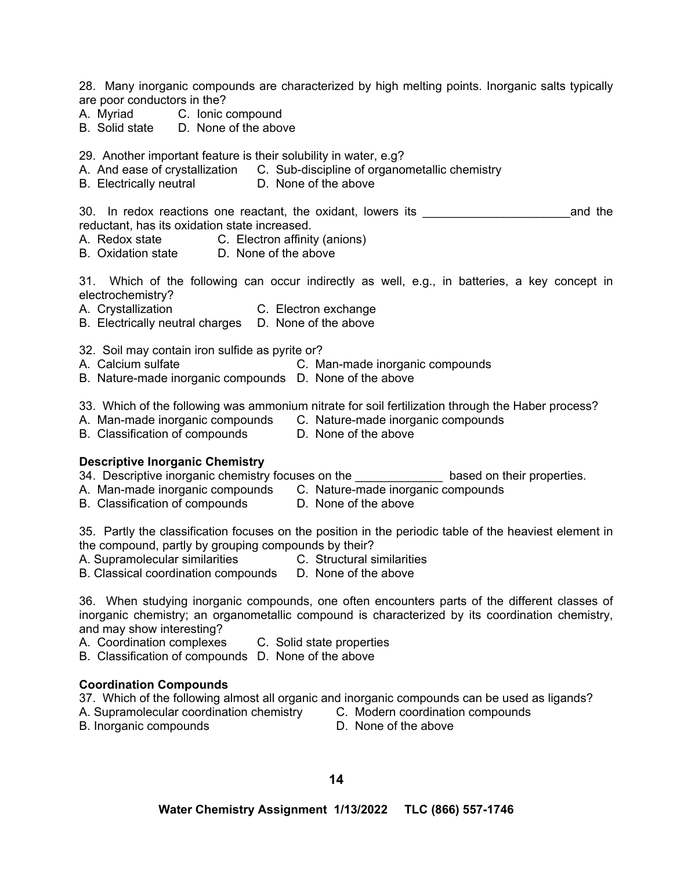28. Many inorganic compounds are characterized by high melting points. Inorganic salts typically are poor conductors in the?

- A. Myriad C. Ionic compound
- B. Solid state D. None of the above

29. Another important feature is their solubility in water, e.g?

- A. And ease of crystallization C. Sub-discipline of organometallic chemistry
- B. Electrically neutral D. None of the above

30. In redox reactions one reactant, the oxidant, lowers its **Example 20** and the reductant, has its oxidation state increased.

- A. Redox state C. Electron affinity (anions)
- B. Oxidation state D. None of the above

31. Which of the following can occur indirectly as well, e.g., in batteries, a key concept in electrochemistry?

- A. Crystallization C. Electron exchange
- B. Electrically neutral charges D. None of the above
- 32. Soil may contain iron sulfide as pyrite or?
- A. Calcium sulfate **C. Man-made inorganic compounds**
- B. Nature-made inorganic compounds D. None of the above

33. Which of the following was ammonium nitrate for soil fertilization through the Haber process?

- A. Man-made inorganic compounds C. Nature-made inorganic compounds
	- B. Classification of compounds D. None of the above

#### **Descriptive Inorganic Chemistry**

- 34. Descriptive inorganic chemistry focuses on the **wave all contracts** based on their properties.
- A. Man-made inorganic compounds C. Nature-made inorganic compounds
- B. Classification of compounds D. None of the above
- 

35. Partly the classification focuses on the position in the periodic table of the heaviest element in the compound, partly by grouping compounds by their?

- A. Supramolecular similarities C. Structural similarities
- B. Classical coordination compounds D. None of the above

36. When studying inorganic compounds, one often encounters parts of the different classes of inorganic chemistry; an organometallic compound is characterized by its coordination chemistry, and may show interesting?

- A. Coordination complexes C. Solid state properties
- B. Classification of compounds D. None of the above

#### **Coordination Compounds**

- 37. Which of the following almost all organic and inorganic compounds can be used as ligands?
- A. Supramolecular coordination chemistry C. Modern coordination compounds
- 
- B. Inorganic compounds D. None of the above
-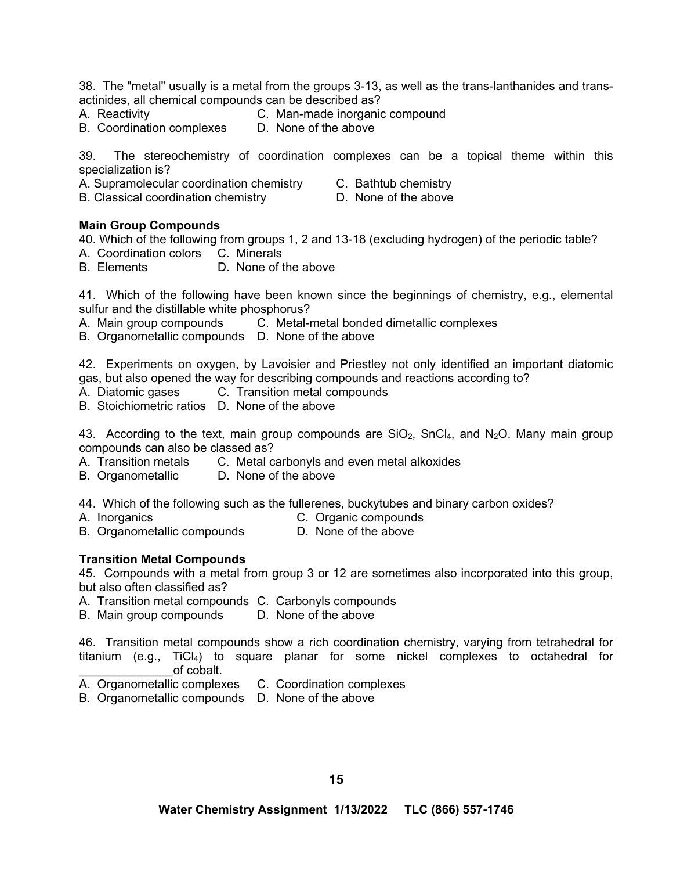38. The "metal" usually is a metal from the groups 3-13, as well as the trans-lanthanides and transactinides, all chemical compounds can be described as?

- A. Reactivity C. Man-made inorganic compound
- B. Coordination complexes D. None of the above

39. The stereochemistry of coordination complexes can be a topical theme within this specialization is?

- A. Supramolecular coordination chemistry C. Bathtub chemistry
	-
- B. Classical coordination chemistry **D.** None of the above

# **Main Group Compounds**

40. Which of the following from groups 1, 2 and 13-18 (excluding hydrogen) of the periodic table? A. Coordination colors C. Minerals

- 
- B. Elements D. None of the above

41. Which of the following have been known since the beginnings of chemistry, e.g., elemental sulfur and the distillable white phosphorus?

- A. Main group compounds C. Metal-metal bonded dimetallic complexes
- B. Organometallic compounds D. None of the above

42. Experiments on oxygen, by Lavoisier and Priestley not only identified an important diatomic gas, but also opened the way for describing compounds and reactions according to?

- A. Diatomic gases C. Transition metal compounds
- B. Stoichiometric ratios D. None of the above

43. According to the text, main group compounds are  $SiO<sub>2</sub>$ , SnCl<sub>4</sub>, and N<sub>2</sub>O. Many main group compounds can also be classed as?

- A. Transition metals C. Metal carbonyls and even metal alkoxides
- B. Organometallic D. None of the above

44. Which of the following such as the fullerenes, buckytubes and binary carbon oxides?

- 
- A. Inorganics<br>
B. Organometallic compounds<br>
D. None of the above
- B. Organometallic compounds

# **Transition Metal Compounds**

45. Compounds with a metal from group 3 or 12 are sometimes also incorporated into this group, but also often classified as?

- A. Transition metal compounds C. Carbonyls compounds
- B. Main group compounds D. None of the above

46. Transition metal compounds show a rich coordination chemistry, varying from tetrahedral for titanium (e.g., TiCl4) to square planar for some nickel complexes to octahedral for \_\_\_\_\_\_\_\_\_\_\_\_\_\_of cobalt.

- A. Organometallic complexes C. Coordination complexes
- B. Organometallic compounds D. None of the above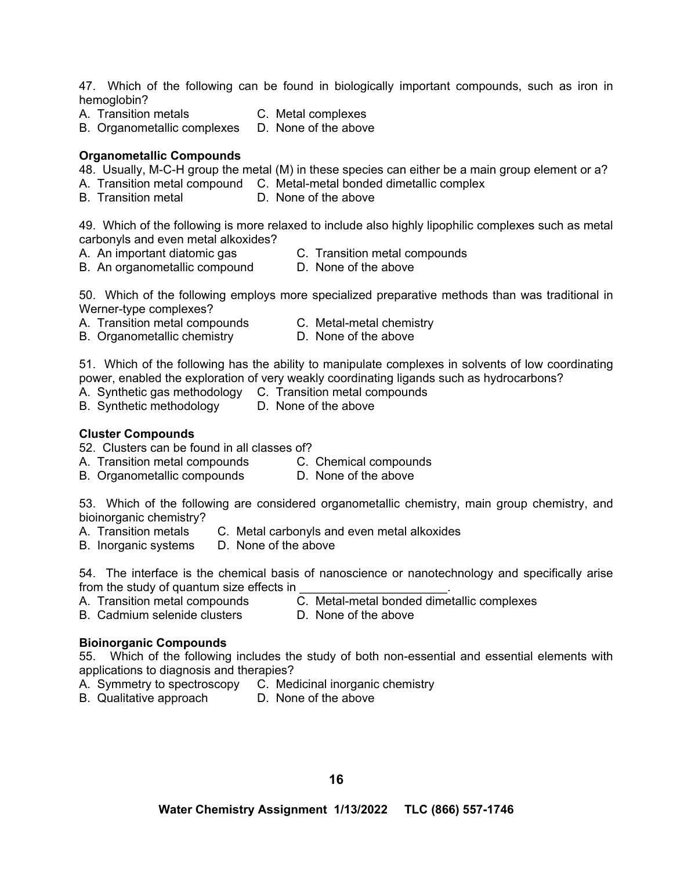47. Which of the following can be found in biologically important compounds, such as iron in hemoglobin?

- A. Transition metals C. Metal complexes
- B. Organometallic complexes D. None of the above

#### **Organometallic Compounds**

48. Usually, M-C-H group the metal (M) in these species can either be a main group element or a?

- A. Transition metal compound C. Metal-metal bonded dimetallic complex
- B. Transition metal **D.** None of the above

49. Which of the following is more relaxed to include also highly lipophilic complexes such as metal carbonyls and even metal alkoxides?

- A. An important diatomic gas C. Transition metal compounds
	-
- B. An organometallic compound D. None of the above

50. Which of the following employs more specialized preparative methods than was traditional in Werner-type complexes?

A. Transition metal compounds C. Metal-metal chemistry

- 
- B. Organometallic chemistry D. None of the above
- 

51. Which of the following has the ability to manipulate complexes in solvents of low coordinating power, enabled the exploration of very weakly coordinating ligands such as hydrocarbons?

- A. Synthetic gas methodology C. Transition metal compounds
- B. Synthetic methodology D. None of the above

#### **Cluster Compounds**

- 52. Clusters can be found in all classes of?
- A. Transition metal compounds C. Chemical compounds
- B. Organometallic compounds D. None of the above

53. Which of the following are considered organometallic chemistry, main group chemistry, and bioinorganic chemistry?

- A. Transition metals C. Metal carbonyls and even metal alkoxides
- B. Inorganic systems D. None of the above

54. The interface is the chemical basis of nanoscience or nanotechnology and specifically arise from the study of quantum size effects in

- 
- A. Transition metal compounds C. Metal-metal bonded dimetallic complexes
- B. Cadmium selenide clusters **D. None of the above**

# **Bioinorganic Compounds**

55. Which of the following includes the study of both non-essential and essential elements with applications to diagnosis and therapies?

- A. Symmetry to spectroscopy C. Medicinal inorganic chemistry
- B. Qualitative approach D. None of the above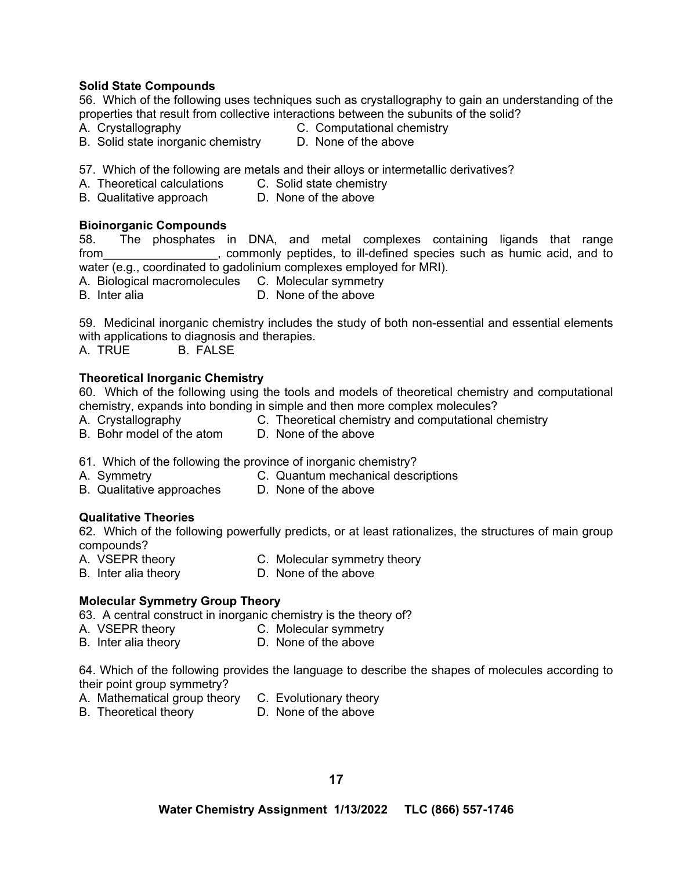#### **Solid State Compounds**

56. Which of the following uses techniques such as crystallography to gain an understanding of the properties that result from collective interactions between the subunits of the solid?

- 
- A. Crystallography C. Computational chemistry
- B. Solid state inorganic chemistry D. None of the above
- 

57. Which of the following are metals and their alloys or intermetallic derivatives?

- A. Theoretical calculations C. Solid state chemistry
- B. Qualitative approach D. None of the above

# **Bioinorganic Compounds**

58. The phosphates in DNA, and metal complexes containing ligands that range from examples are promonly peptides, to ill-defined species such as humic acid, and to water (e.g., coordinated to gadolinium complexes employed for MRI). A. Biological macromolecules C. Molecular symmetry

B. Inter alia **D.** None of the above

59. Medicinal inorganic chemistry includes the study of both non-essential and essential elements with applications to diagnosis and therapies.

A. TRUE B. FALSE

# **Theoretical Inorganic Chemistry**

60. Which of the following using the tools and models of theoretical chemistry and computational chemistry, expands into bonding in simple and then more complex molecules?

- A. Crystallography C. Theoretical chemistry and computational chemistry
- B. Bohr model of the atom D. None of the above

61. Which of the following the province of inorganic chemistry?

- A. Symmetry C. Quantum mechanical descriptions
- B. Qualitative approaches D. None of the above

# **Qualitative Theories**

62. Which of the following powerfully predicts, or at least rationalizes, the structures of main group compounds?

- A. VSEPR theory **C. Molecular symmetry theory**
- 
- B. Inter alia theory **D.** None of the above

# **Molecular Symmetry Group Theory**

- 63. A central construct in inorganic chemistry is the theory of?
- A. VSEPR theory C. Molecular symmetry
- B. Inter alia theory **D.** None of the above

64. Which of the following provides the language to describe the shapes of molecules according to their point group symmetry?

- A. Mathematical group theory C. Evolutionary theory
- B. Theoretical theory **D. None of the above**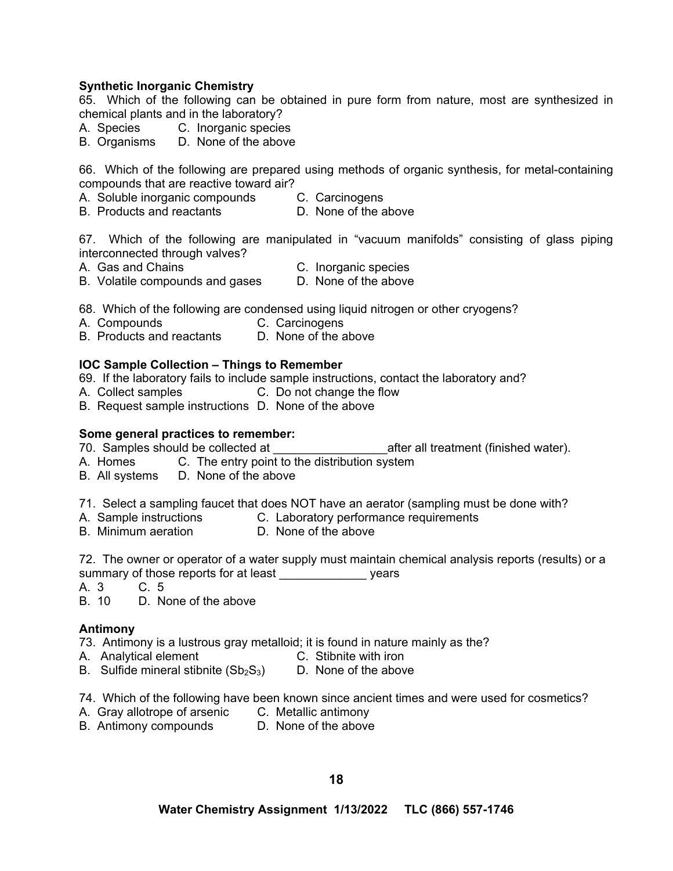# **Synthetic Inorganic Chemistry**

65. Which of the following can be obtained in pure form from nature, most are synthesized in chemical plants and in the laboratory?

- A. Species C. Inorganic species
- B. Organisms D. None of the above

66. Which of the following are prepared using methods of organic synthesis, for metal-containing compounds that are reactive toward air?

- A. Soluble inorganic compounds C. Carcinogens
- B. Products and reactants **D. None of the above**

67. Which of the following are manipulated in "vacuum manifolds" consisting of glass piping interconnected through valves?

A. Gas and Chains C. Inorganic species

- B. Volatile compounds and gases D. None of the above
- 68. Which of the following are condensed using liquid nitrogen or other cryogens?
- A. Compounds C. Carcinogens
- B. Products and reactants D. None of the above

#### **IOC Sample Collection – Things to Remember**

- 69. If the laboratory fails to include sample instructions, contact the laboratory and?
- A. Collect samples C. Do not change the flow
- B. Request sample instructions D. None of the above

#### **Some general practices to remember:**

- 70. Samples should be collected at  $\qquad \qquad$  after all treatment (finished water).
- A. Homes C. The entry point to the distribution system
- B. All systems D. None of the above
- 71. Select a sampling faucet that does NOT have an aerator (sampling must be done with?
- A. Sample instructions **C. Laboratory performance requirements**
- B. Minimum aeration D. None of the above

72. The owner or operator of a water supply must maintain chemical analysis reports (results) or a summary of those reports for at least example are vears

- A. 3 C. 5
- B. 10 D. None of the above

#### **Antimony**

73. Antimony is a lustrous gray metalloid; it is found in nature mainly as the?

- A. Analytical element C. Stibnite with iron
	-
- B. Sulfide mineral stibnite  $(Sb<sub>2</sub>S<sub>3</sub>)$  D. None of the above
- 74. Which of the following have been known since ancient times and were used for cosmetics?
- A. Gray allotrope of arsenic C. Metallic antimony
- B. Antimony compounds D. None of the above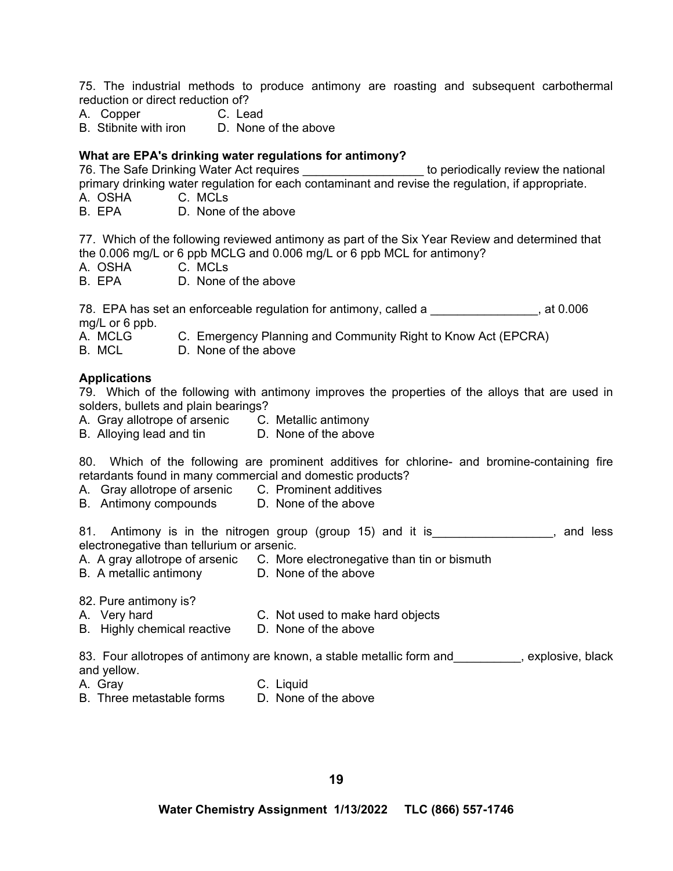75. The industrial methods to produce antimony are roasting and subsequent carbothermal reduction or direct reduction of?

- A. Copper C. Lead
- B. Stibnite with iron D. None of the above

#### **What are EPA's drinking water regulations for antimony?**

76. The Safe Drinking Water Act requires the state of the periodically review the national primary drinking water regulation for each contaminant and revise the regulation, if appropriate.

A. OSHA C. MCLs

B. EPA D. None of the above

77. Which of the following reviewed antimony as part of the Six Year Review and determined that the 0.006 mg/L or 6 ppb MCLG and 0.006 mg/L or 6 ppb MCL for antimony?

A. OSHA C. MCLs

B. EPA D. None of the above

78. EPA has set an enforceable regulation for antimony, called a zero and the set of 0.006 mg/L or 6 ppb.

A. MCLG C. Emergency Planning and Community Right to Know Act (EPCRA)

B. MCL D. None of the above

#### **Applications**

79. Which of the following with antimony improves the properties of the alloys that are used in solders, bullets and plain bearings?

- A. Gray allotrope of arsenic C. Metallic antimony
- B. Alloying lead and tin **D.** None of the above

80. Which of the following are prominent additives for chlorine- and bromine-containing fire retardants found in many commercial and domestic products?

- A. Gray allotrope of arsenic C. Prominent additives
- B. Antimony compounds D. None of the above

81. Antimony is in the nitrogen group (group 15) and it is Theorem is and less electronegative than tellurium or arsenic.

- A. A gray allotrope of arsenic C. More electronegative than tin or bismuth
- B. A metallic antimony D. None of the above
	-
- 82. Pure antimony is?
- A. Very hard C. Not used to make hard objects
- B. Highly chemical reactive D. None of the above

83. Four allotropes of antimony are known, a stable metallic form and explosive, black and yellow.

A. Gray C. Liquid

B. Three metastable forms D. None of the above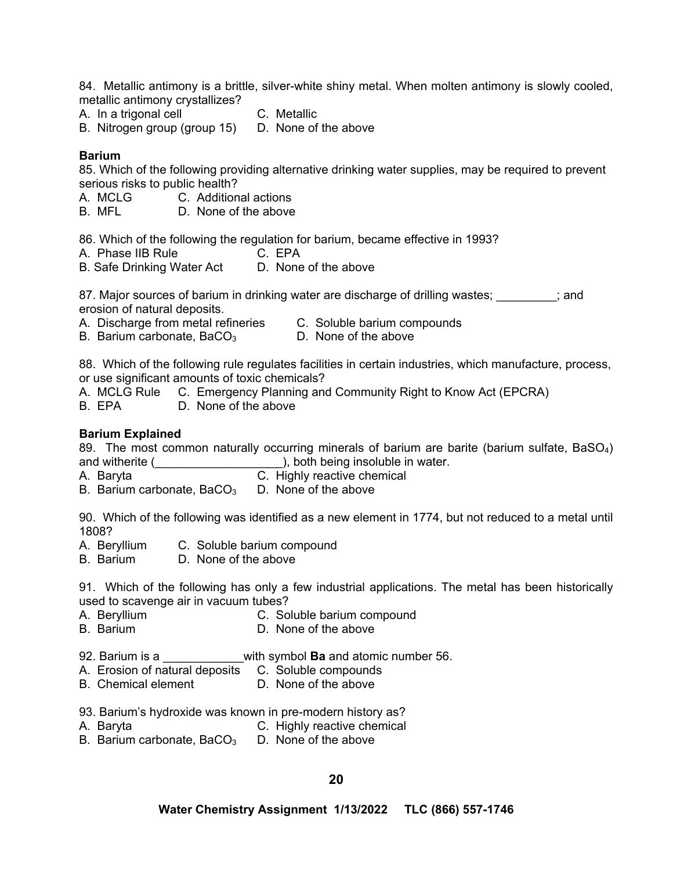84. Metallic antimony is a brittle, silver-white shiny metal. When molten antimony is slowly cooled, metallic antimony crystallizes?

A. In a trigonal cell **C.** Metallic

B. Nitrogen group (group 15) D. None of the above

#### **Barium**

85. Which of the following providing alternative drinking water supplies, may be required to prevent serious risks to public health?

- A. MCLG C. Additional actions
- B. MFL D. None of the above

86. Which of the following the regulation for barium, became effective in 1993?

- A. Phase IIB Rule C. EPA
- B. Safe Drinking Water Act D. None of the above

87. Major sources of barium in drinking water are discharge of drilling wastes; \_\_\_\_\_\_\_\_; and erosion of natural deposits.

- A. Discharge from metal refineries C. Soluble barium compounds
- B. Barium carbonate,  $BaCO<sub>3</sub>$  D. None of the above

88. Which of the following rule regulates facilities in certain industries, which manufacture, process, or use significant amounts of toxic chemicals?

- A. MCLG Rule C. Emergency Planning and Community Right to Know Act (EPCRA)
- B. EPA D. None of the above

#### **Barium Explained**

89. The most common naturally occurring minerals of barium are barite (barium sulfate, BaSO<sub>4</sub>) and witherite (  $\qquad \qquad$  ), both being insoluble in water.

- A. Baryta C. Highly reactive chemical
- B. Barium carbonate,  $BaCO<sub>3</sub>$  D. None of the above

90. Which of the following was identified as a new element in 1774, but not reduced to a metal until 1808?

- A. Beryllium C. Soluble barium compound
- B. Barium D. None of the above

91. Which of the following has only a few industrial applications. The metal has been historically used to scavenge air in vacuum tubes?

- 
- A. Beryllium C. Soluble barium compound<br>B. Barium C. None of the above D. None of the above
- 
- 92. Barium is a \_\_\_\_\_\_\_\_\_\_\_\_with symbol **Ba** and atomic number 56.
- A. Erosion of natural deposits C. Soluble compounds
- B. Chemical element D. None of the above
- 93. Barium's hydroxide was known in pre-modern history as?
- A. Baryta C. Highly reactive chemical
- B. Barium carbonate,  $BaCO<sub>3</sub>$  D. None of the above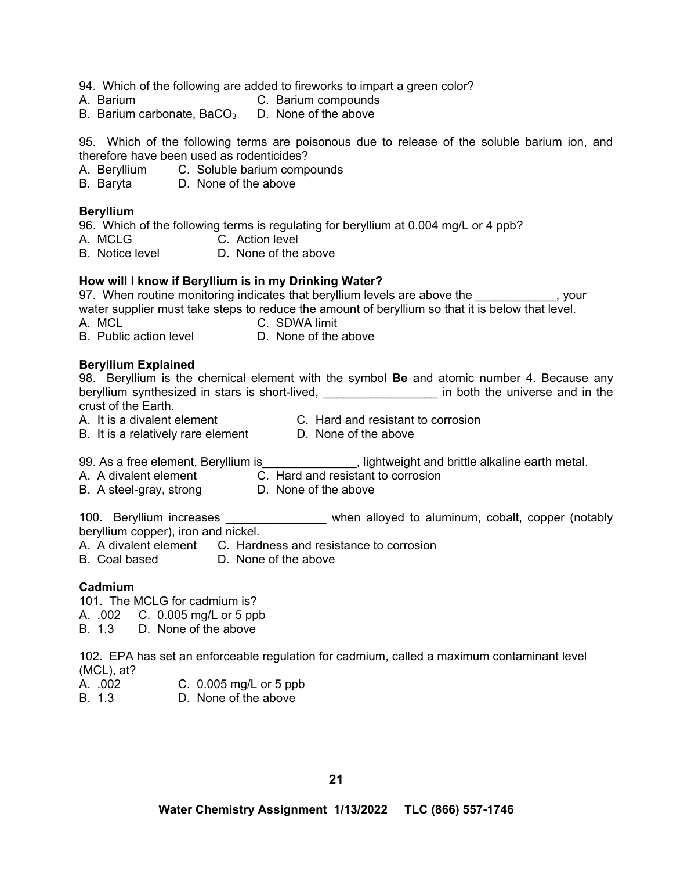- 94. Which of the following are added to fireworks to impart a green color?
- A. Barium C. Barium compounds
- B. Barium carbonate,  $BaCO<sub>3</sub>$  D. None of the above

95. Which of the following terms are poisonous due to release of the soluble barium ion, and therefore have been used as rodenticides?

- A. Beryllium C. Soluble barium compounds
- B. Baryta D. None of the above

# **Beryllium**

96. Which of the following terms is regulating for beryllium at 0.004 mg/L or 4 ppb?

- A. MCLG C. Action level
- B. Notice level D. None of the above

# **How will I know if Beryllium is in my Drinking Water?**

97. When routine monitoring indicates that beryllium levels are above the \_\_\_\_\_\_\_\_\_\_, your water supplier must take steps to reduce the amount of beryllium so that it is below that level. A. MCL C. SDWA limit

B. Public action level **D.** None of the above

#### **Beryllium Explained**

98. Beryllium is the chemical element with the symbol **Be** and atomic number 4. Because any beryllium synthesized in stars is short-lived, \_\_\_\_\_\_\_\_\_\_\_\_\_\_\_\_\_\_\_\_\_ in both the universe and in the crust of the Earth.

A. It is a divalent element C. Hard and resistant to corrosion

- 
- B. It is a relatively rare element D. None of the above
- 

99. As a free element, Beryllium is \_\_\_\_\_\_\_\_\_\_\_\_\_, lightweight and brittle alkaline earth metal.

- A. A divalent element C. Hard and resistant to corrosion
- B. A steel-gray, strong D. None of the above

100. Beryllium increases \_\_\_\_\_\_\_\_\_\_\_\_\_\_\_\_ when alloyed to aluminum, cobalt, copper (notably beryllium copper), iron and nickel.

- A. A divalent element C. Hardness and resistance to corrosion
- B. Coal based D. None of the above

# **Cadmium**

101. The MCLG for cadmium is?

A. .002 C. 0.005 mg/L or 5 ppb

B. 1.3 D. None of the above

102. EPA has set an enforceable regulation for cadmium, called a maximum contaminant level (MCL), at?

- A. .002 C. 0.005 mg/L or 5 ppb
- B. 1.3 D. None of the above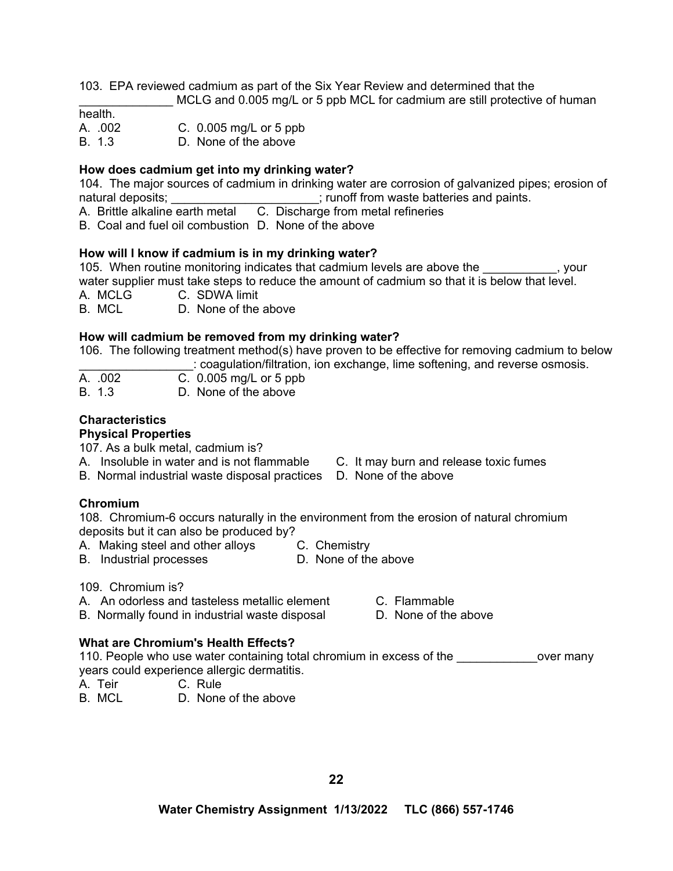103. EPA reviewed cadmium as part of the Six Year Review and determined that the MCLG and 0.005 mg/L or 5 ppb MCL for cadmium are still protective of human

health.<br>A. .002

- C.  $0.005$  mg/L or  $5$  ppb
- B. 1.3 D. None of the above

#### **How does cadmium get into my drinking water?**

104. The major sources of cadmium in drinking water are corrosion of galvanized pipes; erosion of natural deposits; entitypediately contained the paints of the paints of the paints.

- A. Brittle alkaline earth metal C. Discharge from metal refineries
- B. Coal and fuel oil combustion D. None of the above

#### **How will I know if cadmium is in my drinking water?**

105. When routine monitoring indicates that cadmium levels are above the \_\_\_\_\_\_\_\_\_\_\_, your water supplier must take steps to reduce the amount of cadmium so that it is below that level.

A. MCLG C. SDWA limit

B. MCL D. None of the above

#### **How will cadmium be removed from my drinking water?**

106. The following treatment method(s) have proven to be effective for removing cadmium to below

\_\_\_\_\_\_\_\_\_\_\_\_\_\_\_\_\_: coagulation/filtration, ion exchange, lime softening, and reverse osmosis.

- A. .002 C. 0.005 mg/L or 5 ppb
- B. 1.3 D. None of the above

# **Characteristics**

#### **Physical Properties**

107. As a bulk metal, cadmium is?

- A. Insoluble in water and is not flammable C. It may burn and release toxic fumes
- B. Normal industrial waste disposal practices D. None of the above
- **Chromium**

108. Chromium-6 occurs naturally in the environment from the erosion of natural chromium deposits but it can also be produced by?

- A. Making steel and other alloys C. Chemistry
- B. Industrial processes D. None of the above
- 

- 109. Chromium is?
- A. An odorless and tasteless metallic element C. Flammable
- B. Normally found in industrial waste disposal D. None of the above

# **What are Chromium's Health Effects?**

110. People who use water containing total chromium in excess of the state over many years could experience allergic dermatitis.

- A. Teir C. Rule
- B. MCL D. None of the above
- 
- 
- -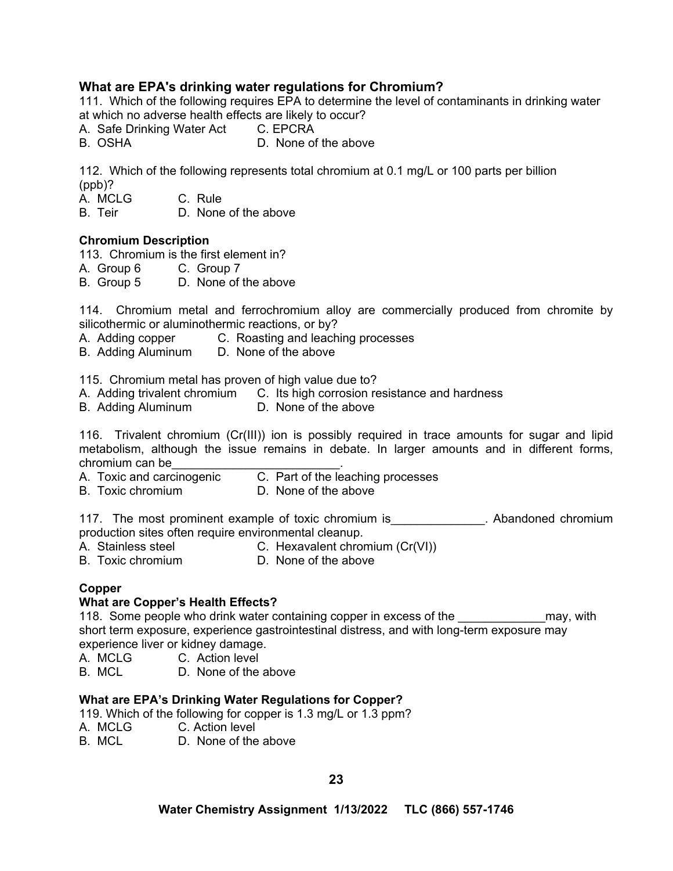# **What are EPA's drinking water regulations for Chromium?**

111. Which of the following requires EPA to determine the level of contaminants in drinking water at which no adverse health effects are likely to occur?

A. Safe Drinking Water Act C. EPCRA

B. OSHA D. None of the above

112. Which of the following represents total chromium at 0.1 mg/L or 100 parts per billion (ppb)?

A. MCLG C. Rule

B. Teir D. None of the above

#### **Chromium Description**

113. Chromium is the first element in?

- A. Group 6 C. Group 7
- B. Group 5 D. None of the above

114. Chromium metal and ferrochromium alloy are commercially produced from chromite by silicothermic or aluminothermic reactions, or by?

- A. Adding copper C. Roasting and leaching processes
- B. Adding Aluminum D. None of the above

115. Chromium metal has proven of high value due to?

- A. Adding trivalent chromium C. Its high corrosion resistance and hardness<br>B. Adding Aluminum D. None of the above
- B. Adding Aluminum

116. Trivalent chromium (Cr(III)) ion is possibly required in trace amounts for sugar and lipid metabolism, although the issue remains in debate. In larger amounts and in different forms, chromium can be

- A. Toxic and carcinogenic C. Part of the leaching processes
- B. Toxic chromium D. None of the above

117. The most prominent example of toxic chromium is The mandoned chromium production sites often require environmental cleanup.

- A. Stainless steel C. Hexavalent chromium (Cr(VI))
- B. Toxic chromium D. None of the above
	-

#### **Copper**

#### **What are Copper's Health Effects?**

118. Some people who drink water containing copper in excess of the \_\_\_\_\_\_\_\_\_\_\_\_\_\_\_\_\_\_\_\_may, with short term exposure, experience gastrointestinal distress, and with long-term exposure may experience liver or kidney damage.

- A. MCLG C. Action level
- B. MCL D. None of the above

# **What are EPA's Drinking Water Regulations for Copper?**

119. Which of the following for copper is 1.3 mg/L or 1.3 ppm?

- A. MCLG C. Action level
- B. MCL D. None of the above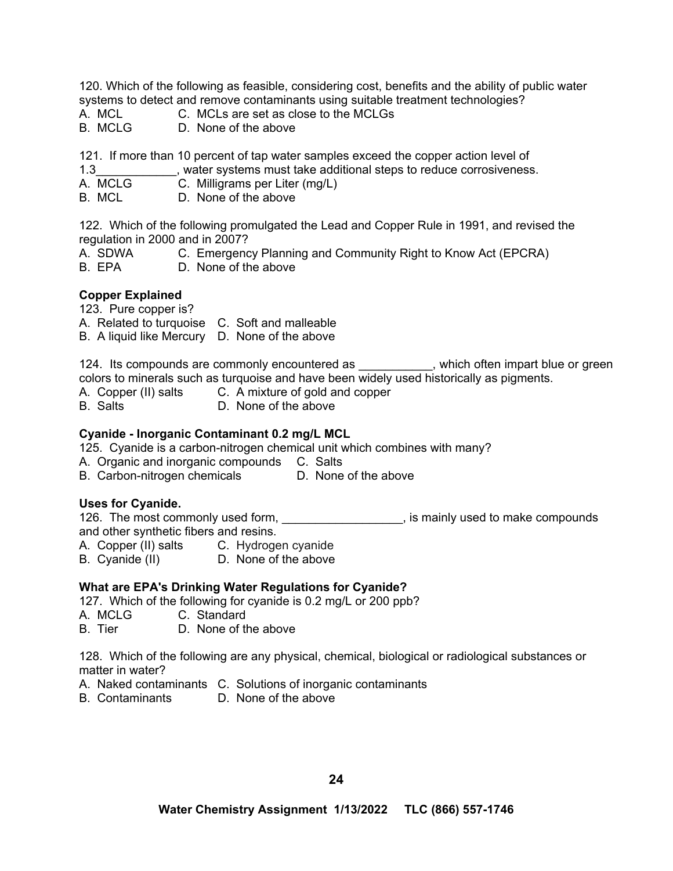120. Which of the following as feasible, considering cost, benefits and the ability of public water systems to detect and remove contaminants using suitable treatment technologies?

A. MCL C. MCLs are set as close to the MCLGs<br>B. MCLG D. None of the above

D. None of the above

121. If more than 10 percent of tap water samples exceed the copper action level of

- 1.3\_\_\_\_\_\_\_\_\_\_\_\_, water systems must take additional steps to reduce corrosiveness.
- A. MCLG C. Milligrams per Liter (mg/L)

B. MCL D. None of the above

122. Which of the following promulgated the Lead and Copper Rule in 1991, and revised the regulation in 2000 and in 2007?

A. SDWA C. Emergency Planning and Community Right to Know Act (EPCRA)

B. EPA D. None of the above

# **Copper Explained**

123. Pure copper is?

A. Related to turquoise C. Soft and malleable

B. A liquid like Mercury D. None of the above

124. Its compounds are commonly encountered as \_\_\_\_\_\_\_\_\_\_, which often impart blue or green colors to minerals such as turquoise and have been widely used historically as pigments.

- A. Copper (II) salts C. A mixture of gold and copper
- B. Salts D. None of the above

# **Cyanide - Inorganic Contaminant 0.2 mg/L MCL**

125. Cyanide is a carbon-nitrogen chemical unit which combines with many?

A. Organic and inorganic compounds C. Salts

B. Carbon-nitrogen chemicals D. None of the above

# **Uses for Cyanide.**

126. The most commonly used form, \_\_\_\_\_\_\_\_\_\_\_\_\_\_\_\_\_\_\_\_, is mainly used to make compounds and other synthetic fibers and resins.

A. Copper (II) salts C. Hydrogen cyanide

B. Cyanide (II) D. None of the above

# **What are EPA's Drinking Water Regulations for Cyanide?**

127. Which of the following for cyanide is 0.2 mg/L or 200 ppb?

- A. MCLG C. Standard
- B. Tier D. None of the above

128. Which of the following are any physical, chemical, biological or radiological substances or matter in water?

- A. Naked contaminants C. Solutions of inorganic contaminants
- B. Contaminants D. None of the above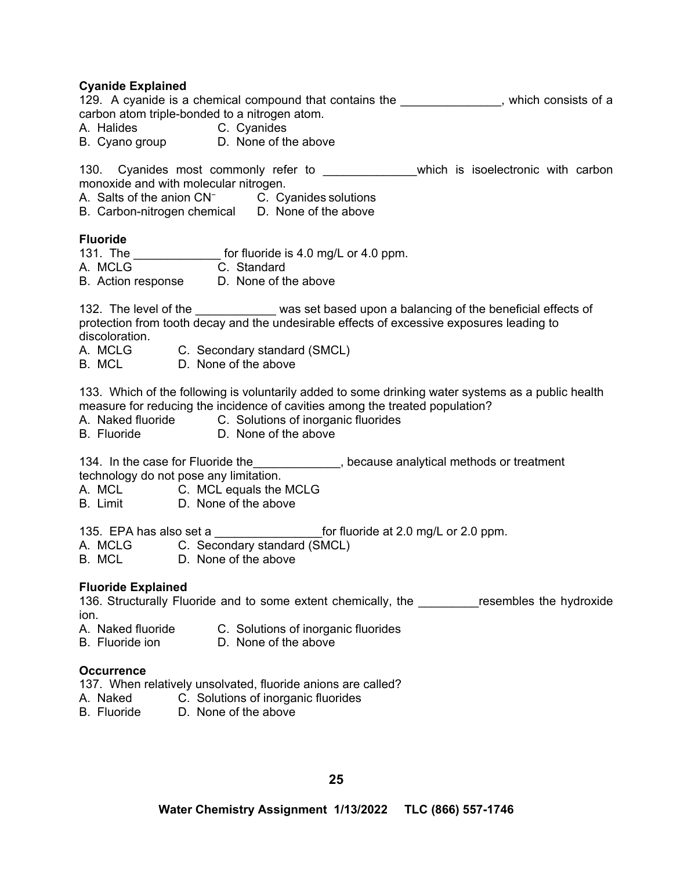#### **Cyanide Explained**

129. A cyanide is a chemical compound that contains the **compound**, which consists of a carbon atom triple-bonded to a nitrogen atom.

- A. Halides C. Cyanides
- B. Cyano group **D. None of the above**

130. Cyanides most commonly refer to example which is isoelectronic with carbon monoxide and with molecular nitrogen.

- A. Salts of the anion CN<sup>−</sup> C. Cyanides solutions
- B. Carbon-nitrogen chemical D. None of the above

#### **Fluoride**

- 131. The **the set of the fluoride is 4.0 mg/L or 4.0 ppm.**
- A. MCLG C. Standard
- B. Action response D. None of the above

132. The level of the **the contract in the set based upon a balancing of the beneficial effects of** protection from tooth decay and the undesirable effects of excessive exposures leading to discoloration.

A. MCLG C. Secondary standard (SMCL)

B. MCL D. None of the above

133. Which of the following is voluntarily added to some drinking water systems as a public health measure for reducing the incidence of cavities among the treated population?

- A. Naked fluoride C. Solutions of inorganic fluorides
- B. Fluoride D. None of the above

134. In the case for Fluoride the subsequence is because analytical methods or treatment technology do not pose any limitation.

- A. MCL C. MCL equals the MCLG
- B. Limit D. None of the above

135. EPA has also set a call the set of fluoride at 2.0 mg/L or 2.0 ppm.

- A. MCLG C. Secondary standard (SMCL)
- B. MCL D. None of the above

#### **Fluoride Explained**

136. Structurally Fluoride and to some extent chemically, the **come assumpled that hydroxide** ion.

- A. Naked fluoride C. Solutions of inorganic fluorides
- B. Fluoride ion D. None of the above

#### **Occurrence**

137. When relatively unsolvated, fluoride anions are called?

- A. Naked C. Solutions of inorganic fluorides
- B. Fluoride D. None of the above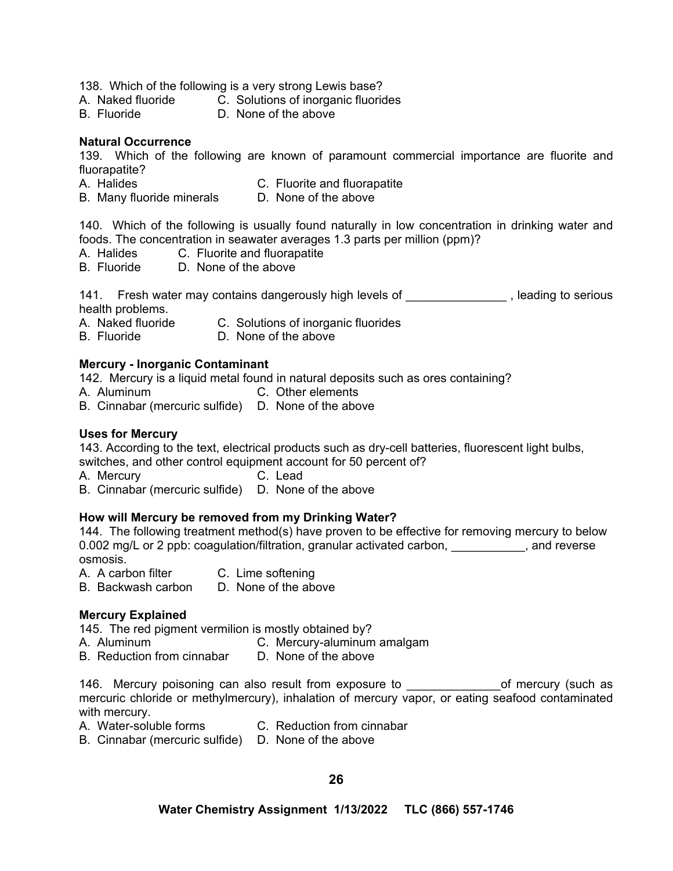138. Which of the following is a very strong Lewis base?

- A. Naked fluoride C. Solutions of inorganic fluorides
- B. Fluoride D. None of the above

#### **Natural Occurrence**

139. Which of the following are known of paramount commercial importance are fluorite and fluorapatite?

- A. Halides C. Fluorite and fluorapatite
- B. Many fluoride minerals D. None of the above

140. Which of the following is usually found naturally in low concentration in drinking water and foods. The concentration in seawater averages 1.3 parts per million (ppm)?

- A. Halides C. Fluorite and fluorapatite
- B. Fluoride D. None of the above

141. Fresh water may contains dangerously high levels of \_\_\_\_\_\_\_\_\_\_\_\_\_\_\_\_, leading to serious health problems.

A. Naked fluoride C. Solutions of inorganic fluorides

B. Fluoride D. None of the above

# **Mercury - Inorganic Contaminant**

142. Mercury is a liquid metal found in natural deposits such as ores containing?

- A. Aluminum C. Other elements
- B. Cinnabar (mercuric sulfide) D. None of the above

#### **Uses for Mercury**

143. According to the text, electrical products such as dry-cell batteries, fluorescent light bulbs, switches, and other control equipment account for 50 percent of?

- A. Mercury C. Lead
- B. Cinnabar (mercuric sulfide) D. None of the above

#### **How will Mercury be removed from my Drinking Water?**

144. The following treatment method(s) have proven to be effective for removing mercury to below 0.002 mg/L or 2 ppb: coagulation/filtration, granular activated carbon, and reverse osmosis.

- A. A carbon filter C. Lime softening
- B. Backwash carbon D. None of the above

#### **Mercury Explained**

145. The red pigment vermilion is mostly obtained by?

- A. Aluminum C. Mercury-aluminum amalgam<br>B. Reduction from cinnabar D. None of the above
- B. Reduction from cinnabar

146. Mercury poisoning can also result from exposure to \_\_\_\_\_\_\_\_\_\_\_\_\_\_\_\_of mercury (such as mercuric chloride or methylmercury), inhalation of mercury vapor, or eating seafood contaminated with mercury.

- A. Water-soluble forms C. Reduction from cinnabar
- B. Cinnabar (mercuric sulfide) D. None of the above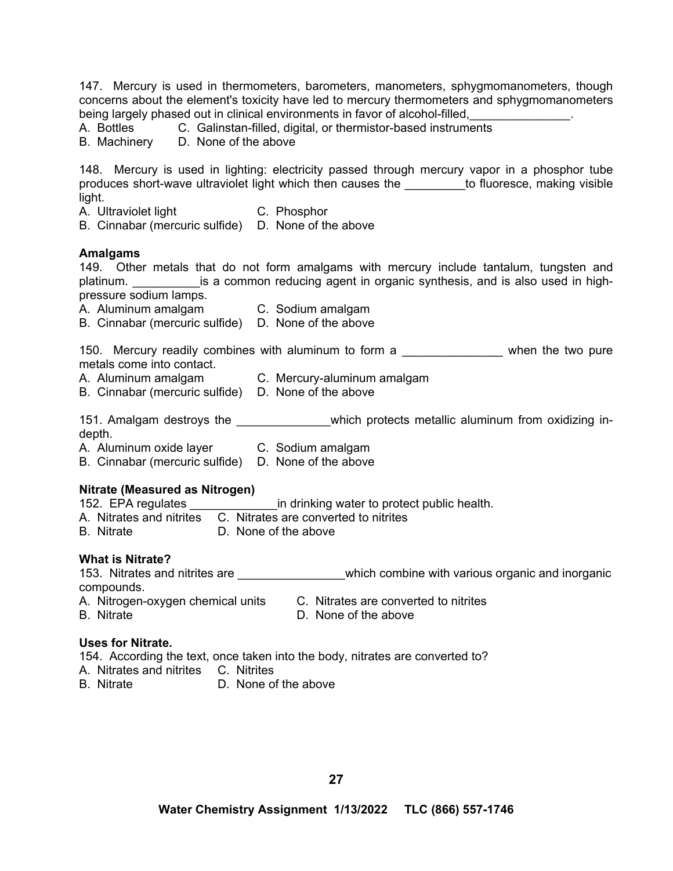147. Mercury is used in thermometers, barometers, manometers, sphygmomanometers, though concerns about the element's toxicity have led to mercury thermometers and sphygmomanometers being largely phased out in clinical environments in favor of alcohol-filled,

A. Bottles **C.** Galinstan-filled, digital, or thermistor-based instruments

B. Machinery D. None of the above

148. Mercury is used in lighting: electricity passed through mercury vapor in a phosphor tube produces short-wave ultraviolet light which then causes the to fluoresce, making visible light.

A. Ultraviolet light C. Phosphor

B. Cinnabar (mercuric sulfide) D. None of the above

# **Amalgams**

149. Other metals that do not form amalgams with mercury include tantalum, tungsten and platinum. **Example 20** is a common reducing agent in organic synthesis, and is also used in highpressure sodium lamps.

- A. Aluminum amalgam C. Sodium amalgam
- B. Cinnabar (mercuric sulfide) D. None of the above

150. Mercury readily combines with aluminum to form a Theorem when the two pure metals come into contact.

- A. Aluminum amalgam C. Mercury-aluminum amalgam
- B. Cinnabar (mercuric sulfide) D. None of the above

151. Amalgam destroys the \_\_\_\_\_\_\_\_\_\_\_\_\_\_\_which protects metallic aluminum from oxidizing indepth.

- A. Aluminum oxide layer C. Sodium amalgam
- B. Cinnabar (mercuric sulfide) D. None of the above

# **Nitrate (Measured as Nitrogen)**

152. EPA regulates \_\_\_\_\_\_\_\_\_\_\_\_\_in drinking water to protect public health.

- A. Nitrates and nitrites C. Nitrates are converted to nitrites
- B. Nitrate D. None of the above

# **What is Nitrate?**

153. Nitrates and nitrites are \_\_\_\_\_\_\_\_\_\_\_\_\_\_\_\_\_\_\_which combine with various organic and inorganic compounds.

A. Nitrogen-oxygen chemical units C. Nitrates are converted to nitrites

B. Nitrate D. None of the above

**Uses for Nitrate.**

154. According the text, once taken into the body, nitrates are converted to?

- A. Nitrates and nitrites C. Nitrites
- B. Nitrate D. None of the above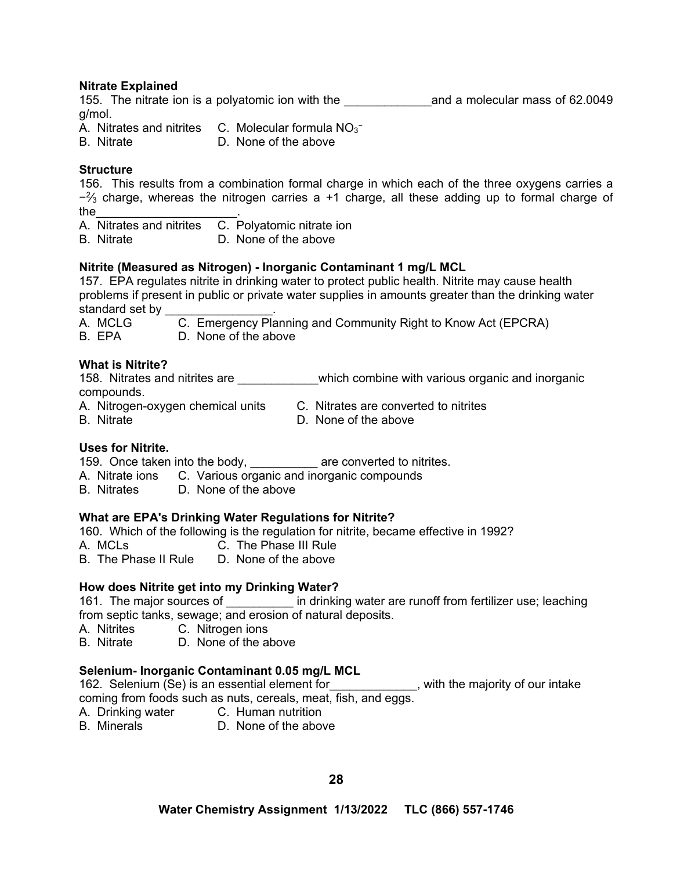#### **Nitrate Explained**

155. The nitrate ion is a polyatomic ion with the **the contract and a molecular mass of 62.0049** g/mol.

A. Nitrates and nitrites  $\,$  C. Molecular formula NO<sub>3</sub><sup>-</sup>

B. Nitrate D. None of the above

#### **Structure**

156. This results from a combination formal charge in which each of the three oxygens carries a  $-2/3$  charge, whereas the nitrogen carries a +1 charge, all these adding up to formal charge of the  $\blacksquare$ 

A. Nitrates and nitrites C. Polyatomic nitrate ion

B. Nitrate D. None of the above

#### **Nitrite (Measured as Nitrogen) - Inorganic Contaminant 1 mg/L MCL**

157. EPA regulates nitrite in drinking water to protect public health. Nitrite may cause health problems if present in public or private water supplies in amounts greater than the drinking water standard set by \_\_\_\_\_\_\_\_\_\_\_\_\_\_\_\_.

A. MCLG **C. Emergency Planning and Community Right to Know Act (EPCRA)** B. EPA D. None of the above

#### **What is Nitrite?**

158. Nitrates and nitrites are **Exercise 20 and inorganic and inorganic** 158. Nitrates and inorganic compounds.

- A. Nitrogen-oxygen chemical units C. Nitrates are converted to nitrites
- B. Nitrate D. None of the above

# **Uses for Nitrite.**

159. Once taken into the body, \_\_\_\_\_\_\_\_ are converted to nitrites.

- A. Nitrate ions C. Various organic and inorganic compounds
- B. Nitrates D. None of the above

# **What are EPA's Drinking Water Regulations for Nitrite?**

160. Which of the following is the regulation for nitrite, became effective in 1992?

A. MCLs C. The Phase III Rule

B. The Phase II Rule D. None of the above

# **How does Nitrite get into my Drinking Water?**

161. The major sources of \_\_\_\_\_\_\_\_\_\_\_ in drinking water are runoff from fertilizer use; leaching from septic tanks, sewage; and erosion of natural deposits.

A. Nitrites C. Nitrogen ions

B. Nitrate D. None of the above

# **Selenium- Inorganic Contaminant 0.05 mg/L MCL**

162. Selenium (Se) is an essential element for\_\_\_\_\_\_\_\_\_\_\_\_\_, with the majority of our intake coming from foods such as nuts, cereals, meat, fish, and eggs.

- A. Drinking water C. Human nutrition<br>B. Minerals B. None of the above
- D. None of the above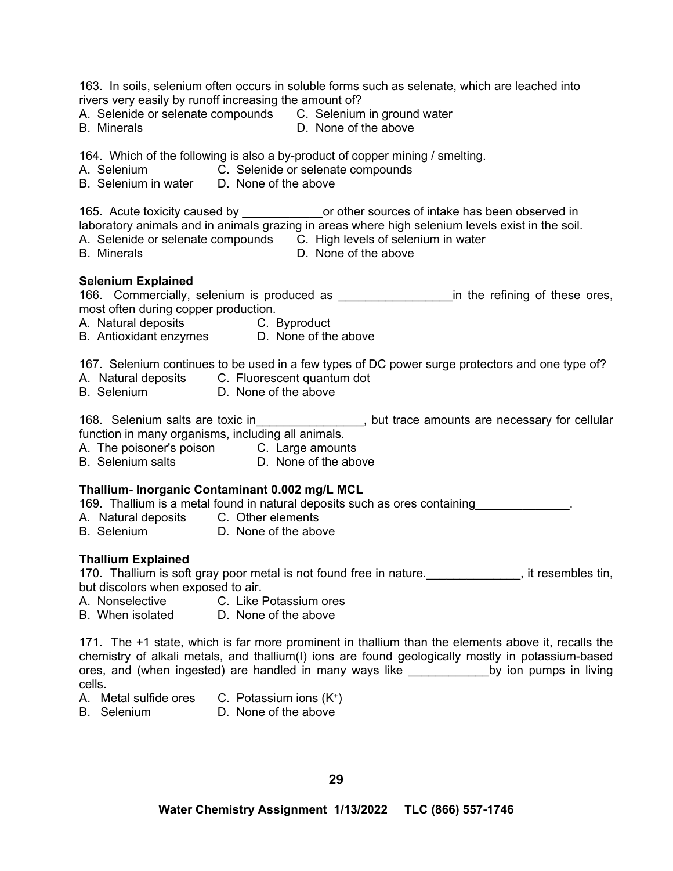163. In soils, selenium often occurs in soluble forms such as selenate, which are leached into rivers very easily by runoff increasing the amount of?

- A. Selenide or selenate compounds C. Selenium in ground water
- 
- B. Minerals **D.** None of the above

164. Which of the following is also a by-product of copper mining / smelting.

- A. Selenium C. Selenide or selenate compounds
- B. Selenium in water D. None of the above

165. Acute toxicity caused by \_\_\_\_\_\_\_\_\_\_\_\_\_\_\_or other sources of intake has been observed in laboratory animals and in animals grazing in areas where high selenium levels exist in the soil.

A. Selenide or selenate compounds C. High levels of selenium in water

B. Minerals **B. Minerals D. None of the above** 

#### **Selenium Explained**

166. Commercially, selenium is produced as \_\_\_\_\_\_\_\_\_\_\_\_\_\_\_\_\_\_\_\_\_\_in the refining of these ores, most often during copper production.

- A. Natural deposits C. Byproduct
- B. Antioxidant enzymes D. None of the above

167. Selenium continues to be used in a few types of DC power surge protectors and one type of?

- A. Natural deposits C. Fluorescent quantum dot
- B. Selenium D. None of the above

168. Selenium salts are toxic in\_\_\_\_\_\_\_\_\_\_\_\_\_\_\_\_, but trace amounts are necessary for cellular function in many organisms, including all animals.

A. The poisoner's poison C. Large amounts

B. Selenium salts D. None of the above

# **Thallium- Inorganic Contaminant 0.002 mg/L MCL**

169. Thallium is a metal found in natural deposits such as ores containing **comediation**.

- A. Natural deposits C. Other elements
- B. Selenium D. None of the above

#### **Thallium Explained**

170. Thallium is soft gray poor metal is not found free in nature. We cance the sembles tin, but discolors when exposed to air.

- A. Nonselective C. Like Potassium ores
- B. When isolated D. None of the above

171. The +1 state, which is far more prominent in thallium than the elements above it, recalls the chemistry of alkali metals, and thallium(I) ions are found geologically mostly in potassium-based ores, and (when ingested) are handled in many ways like \_\_\_\_\_\_\_\_\_\_\_\_by ion pumps in living cells.

- A. Metal sulfide ores  $C.$  Potassium ions  $(K^+)$
- B. Selenium D. None of the above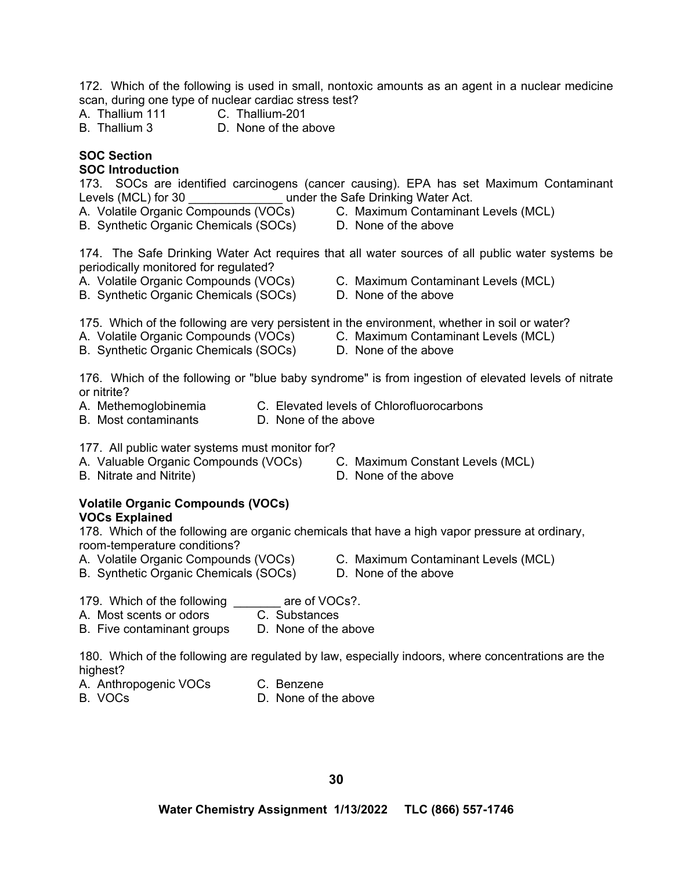172. Which of the following is used in small, nontoxic amounts as an agent in a nuclear medicine scan, during one type of nuclear cardiac stress test?

- A. Thallium 111 C. Thallium-201<br>B. Thallium 3 D. None of the a
- D. None of the above

#### **SOC Section**

#### **SOC Introduction**

173. SOCs are identified carcinogens (cancer causing). EPA has set Maximum Contaminant Levels (MCL) for 30 **Levels** (MCL) for 30 **Levels** under the Safe Drinking Water Act.

A. Volatile Organic Compounds (VOCs) C. Maximum Contaminant Levels (MCL)

- B. Synthetic Organic Chemicals (SOCs) D. None of the above
- 
- 

174. The Safe Drinking Water Act requires that all water sources of all public water systems be periodically monitored for regulated?

- 
- B. Synthetic Organic Chemicals (SOCs) D. None of the above
- A. Volatile Organic Compounds (VOCs) C. Maximum Contaminant Levels (MCL)
	-

175. Which of the following are very persistent in the environment, whether in soil or water?

- A. Volatile Organic Compounds (VOCs) C. Maximum Contaminant Levels (MCL)
	-
- B. Synthetic Organic Chemicals (SOCs) D. None of the above
	-

176. Which of the following or "blue baby syndrome" is from ingestion of elevated levels of nitrate or nitrite?

- A. Methemoglobinemia C. Elevated levels of Chlorofluorocarbons
- B. Most contaminants D. None of the above

177. All public water systems must monitor for?

- A. Valuable Organic Compounds (VOCs) C. Maximum Constant Levels (MCL)
- 
- 
- B. Nitrate and Nitrite) D. None of the above

# **Volatile Organic Compounds (VOCs)**

#### **VOCs Explained**

178. Which of the following are organic chemicals that have a high vapor pressure at ordinary, room-temperature conditions?

- A. Volatile Organic Compounds (VOCs) C. Maximum Contaminant Levels (MCL)
	-
- B. Synthetic Organic Chemicals (SOCs) D. None of the above
- 179. Which of the following are of VOCs?.
- A. Most scents or odors C. Substances
- B. Five contaminant groups D. None of the above

180. Which of the following are regulated by law, especially indoors, where concentrations are the highest?

- A. Anthropogenic VOCs C. Benzene
- B. VOCs D. None of the above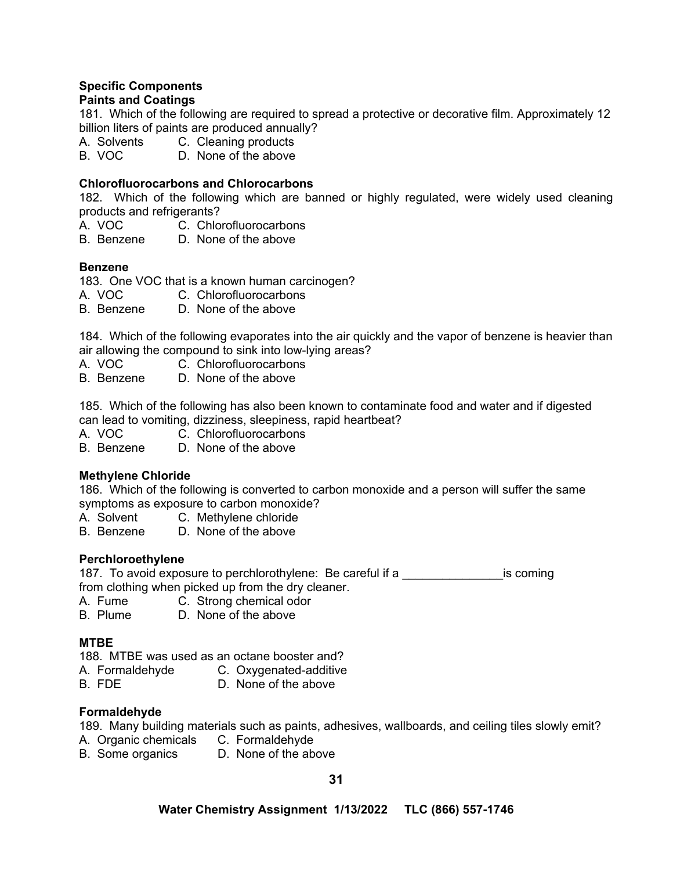# **Specific Components**

# **Paints and Coatings**

181. Which of the following are required to spread a protective or decorative film. Approximately 12 billion liters of paints are produced annually?

A. Solvents C. Cleaning products

B. VOC D. None of the above

# **Chlorofluorocarbons and Chlorocarbons**

182. Which of the following which are banned or highly regulated, were widely used cleaning products and refrigerants?

- A. VOC C. Chlorofluorocarbons<br>
B. Renzene D. None of the above
- D. None of the above

# **Benzene**

183. One VOC that is a known human carcinogen?

- A. VOC C. Chlorofluorocarbons
- B. Benzene D. None of the above

184. Which of the following evaporates into the air quickly and the vapor of benzene is heavier than air allowing the compound to sink into low-lying areas?

- A. VOC C. Chlorofluorocarbons
- B. Benzene D. None of the above

185. Which of the following has also been known to contaminate food and water and if digested can lead to vomiting, dizziness, sleepiness, rapid heartbeat?

A. VOC C. Chlorofluorocarbons

B. Benzene D. None of the above

# **Methylene Chloride**

186. Which of the following is converted to carbon monoxide and a person will suffer the same symptoms as exposure to carbon monoxide?

A. Solvent C. Methylene chloride

B. Benzene D. None of the above

# **Perchloroethylene**

187. To avoid exposure to perchlorothylene: Be careful if a expression is coming from clothing when picked up from the dry cleaner.

A. Fume C. Strong chemical odor

B. Plume D. None of the above

# **MTBE**

188. MTBE was used as an octane booster and?

- A. Formaldehyde C. Oxygenated-additive
- B. FDE D. None of the above

# **Formaldehyde**

189. Many building materials such as paints, adhesives, wallboards, and ceiling tiles slowly emit? A. Organic chemicals C. Formaldehyde

B. Some organics D. None of the above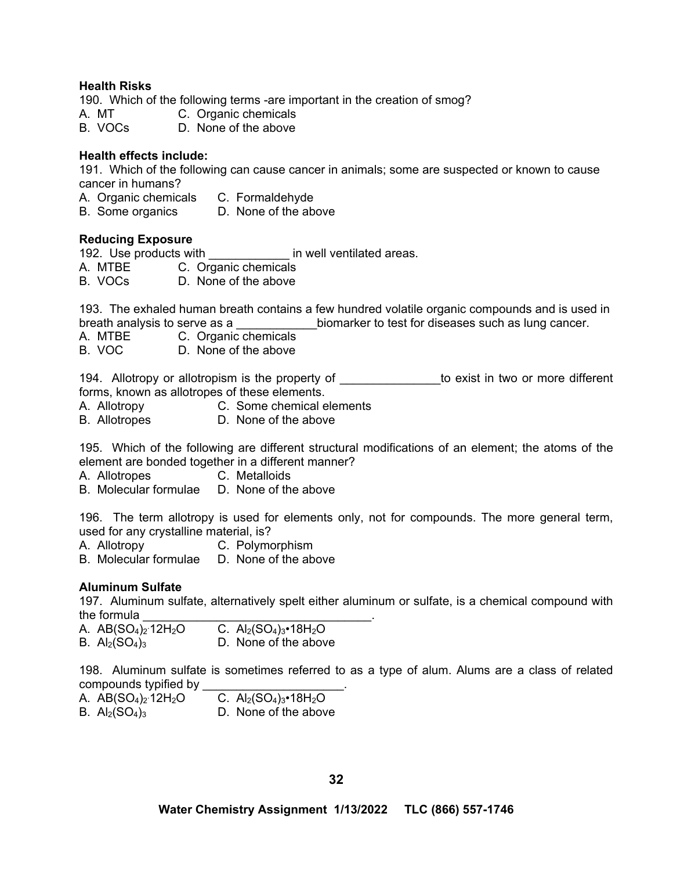#### **Health Risks**

190. Which of the following terms -are important in the creation of smog?

- A. MT C. Organic chemicals<br>B. VOCs D. None of the above
- D. None of the above

#### **Health effects include:**

191. Which of the following can cause cancer in animals; some are suspected or known to cause cancer in humans?

- A. Organic chemicals C. Formaldehyde
- B. Some organics D. None of the above

#### **Reducing Exposure**

192. Use products with **the contract of the ventilated areas.** 

- A. MTBE C. Organic chemicals
- B. VOCs D. None of the above

193. The exhaled human breath contains a few hundred volatile organic compounds and is used in breath analysis to serve as a contract to test for diseases such as lung cancer.

- A. MTBE C. Organic chemicals
- B. VOC D. None of the above

194. Allotropy or allotropism is the property of Theorem is to exist in two or more different forms, known as allotropes of these elements.

- A. Allotropy C. Some chemical elements
- B. Allotropes D. None of the above

195. Which of the following are different structural modifications of an element; the atoms of the element are bonded together in a different manner?

- A. Allotropes C. Metalloids
- B. Molecular formulae D. None of the above

196. The term allotropy is used for elements only, not for compounds. The more general term, used for any crystalline material, is?<br>A. Allotropy C. Polymo

- C. Polymorphism
- B. Molecular formulae D. None of the above

#### **Aluminum Sulfate**

197. Aluminum sulfate, alternatively spelt either aluminum or sulfate, is a chemical compound with the formula

| A. $AB(SO_4)_2 12H_2O$          | C. $Al_2(SO_4)_3 \cdot 18H_2O$ |
|---------------------------------|--------------------------------|
| B. $\text{Al}_2(\text{SO}_4)_3$ | D. None of the above           |

198. Aluminum sulfate is sometimes referred to as a type of alum. Alums are a class of related compounds typified by example of the state of the state of the state of the state of the state of the state of the state of the state of the state of the state of the state of the state of the state of the state of the sta

| A. $AB(SO_4)_2 12H_2O$          |  | C. $Al_2(SO_4)_3 \cdot 18H_2O$ |
|---------------------------------|--|--------------------------------|
| B. $\text{Al}_2(\text{SO}_4)_3$ |  | D. None of the above           |